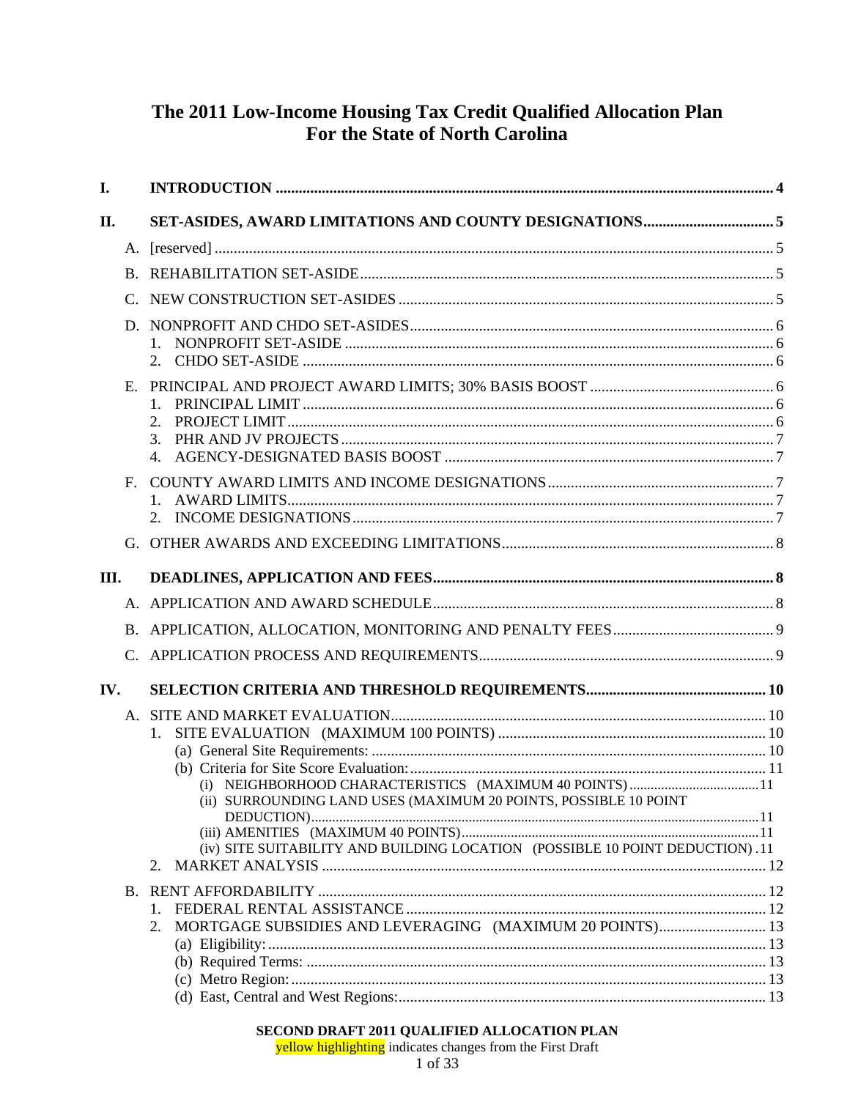# The 2011 Low-Income Housing Tax Credit Qualified Allocation Plan For the State of North Carolina

| I.  |                                                                              |  |
|-----|------------------------------------------------------------------------------|--|
| II. |                                                                              |  |
|     |                                                                              |  |
|     |                                                                              |  |
|     |                                                                              |  |
| D.  |                                                                              |  |
|     |                                                                              |  |
|     |                                                                              |  |
| Е.  |                                                                              |  |
|     | 2.                                                                           |  |
|     |                                                                              |  |
|     |                                                                              |  |
| F.  |                                                                              |  |
|     |                                                                              |  |
|     |                                                                              |  |
|     |                                                                              |  |
| Ш.  |                                                                              |  |
|     |                                                                              |  |
|     |                                                                              |  |
|     |                                                                              |  |
| IV. |                                                                              |  |
|     |                                                                              |  |
|     |                                                                              |  |
|     |                                                                              |  |
|     |                                                                              |  |
|     | (ii) SURROUNDING LAND USES (MAXIMUM 20 POINTS, POSSIBLE 10 POINT             |  |
|     |                                                                              |  |
|     | (iv) SITE SUITABILITY AND BUILDING LOCATION (POSSIBLE 10 POINT DEDUCTION).11 |  |
|     | 2.                                                                           |  |
|     |                                                                              |  |
|     | MORTGAGE SUBSIDIES AND LEVERAGING (MAXIMUM 20 POINTS) 13<br>2.               |  |
|     |                                                                              |  |
|     |                                                                              |  |
|     |                                                                              |  |
|     |                                                                              |  |
|     | SECOND DRAFT 2011 OUAL IFIED ALL OCATION PLAN                                |  |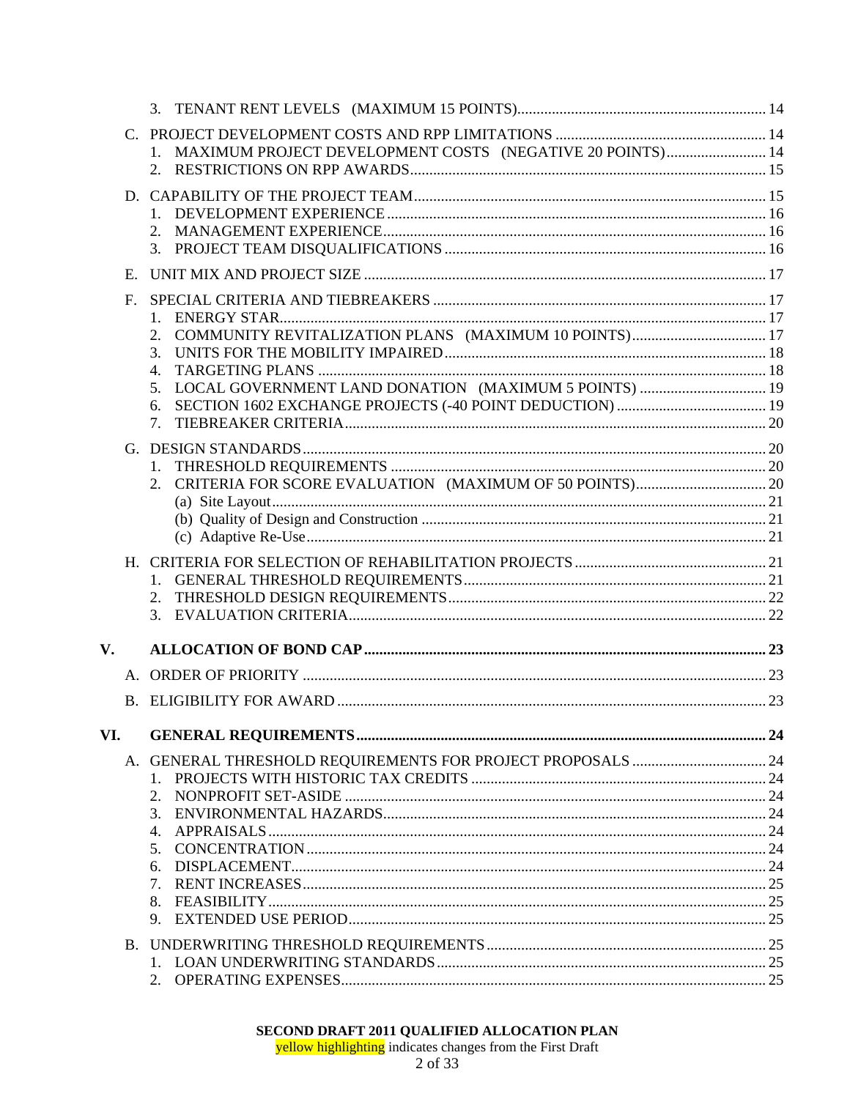|                        | $C_{\cdot}$ |                                                              |  |
|------------------------|-------------|--------------------------------------------------------------|--|
|                        |             | 1. MAXIMUM PROJECT DEVELOPMENT COSTS (NEGATIVE 20 POINTS) 14 |  |
|                        |             |                                                              |  |
|                        |             |                                                              |  |
|                        |             |                                                              |  |
|                        |             | 2.                                                           |  |
|                        |             |                                                              |  |
|                        | E.          |                                                              |  |
|                        | $F_{\cdot}$ |                                                              |  |
|                        |             | 1.                                                           |  |
|                        |             | 2.                                                           |  |
|                        |             | 3.                                                           |  |
|                        |             | 4.                                                           |  |
|                        |             | 5.                                                           |  |
|                        |             | 6.<br>7 <sub>1</sub>                                         |  |
|                        |             |                                                              |  |
|                        |             |                                                              |  |
|                        |             | 2.                                                           |  |
|                        |             |                                                              |  |
|                        |             |                                                              |  |
|                        |             |                                                              |  |
|                        |             |                                                              |  |
|                        |             |                                                              |  |
|                        |             |                                                              |  |
|                        |             | 3.                                                           |  |
|                        |             |                                                              |  |
| $\mathbf{V}_{\bullet}$ |             |                                                              |  |
|                        |             |                                                              |  |
|                        |             |                                                              |  |
|                        |             |                                                              |  |
| VI.                    |             |                                                              |  |
|                        |             |                                                              |  |
|                        |             |                                                              |  |
|                        |             | 2.<br>3.                                                     |  |
|                        |             | 4.                                                           |  |
|                        |             | 5.                                                           |  |
|                        |             | 6.                                                           |  |
|                        |             | 7.                                                           |  |
|                        |             | 8.                                                           |  |
|                        |             | 9.                                                           |  |
|                        |             |                                                              |  |
|                        |             |                                                              |  |
|                        |             |                                                              |  |
|                        |             |                                                              |  |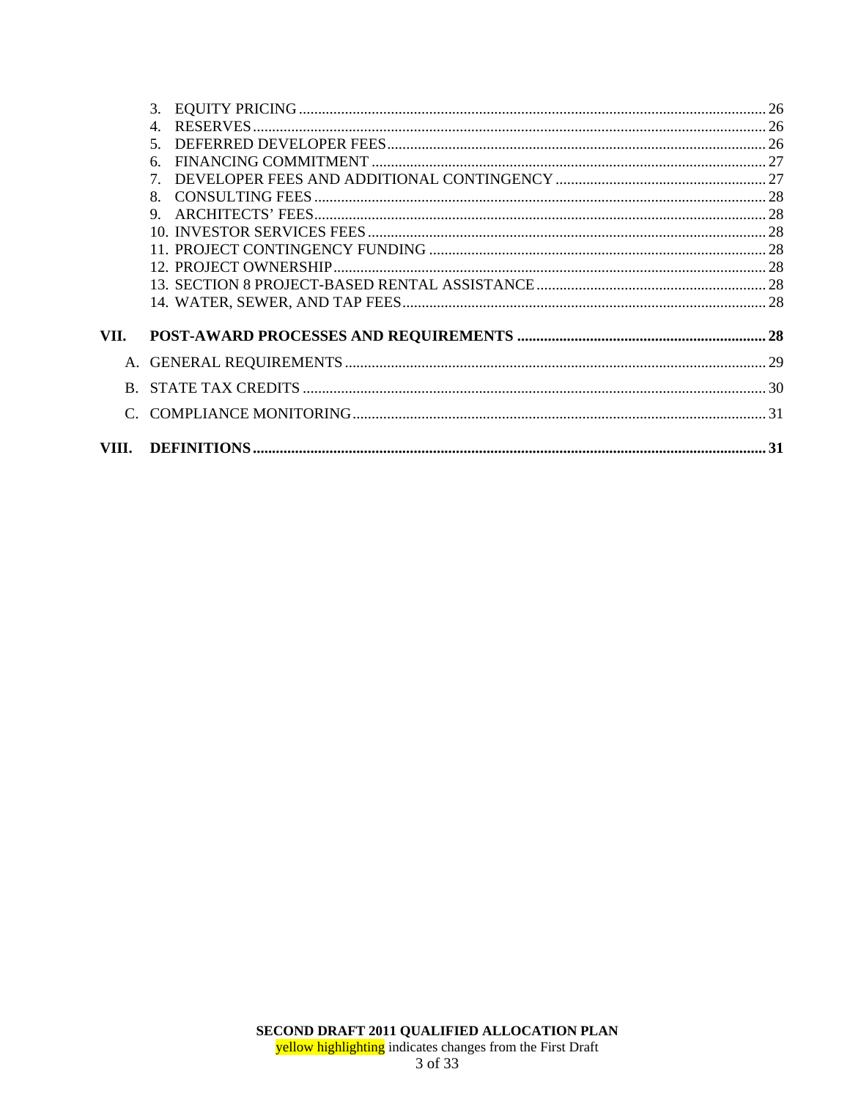|      | $\overline{4}$ |  |
|------|----------------|--|
|      | $\mathcal{F}$  |  |
|      | 6              |  |
|      | 7              |  |
|      | 8              |  |
|      | 9              |  |
|      |                |  |
|      |                |  |
|      |                |  |
|      |                |  |
|      |                |  |
| VII. |                |  |
|      |                |  |
| B.   |                |  |
|      |                |  |
|      |                |  |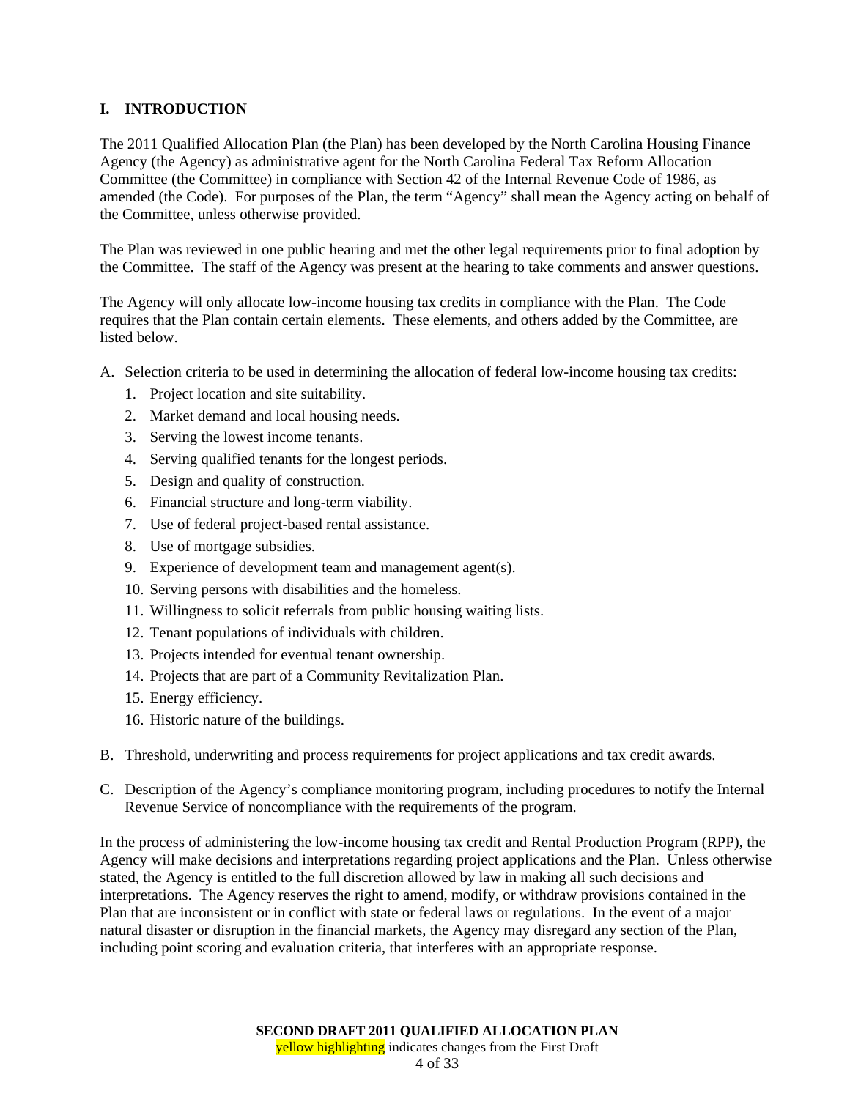## **I. INTRODUCTION**

The 2011 Qualified Allocation Plan (the Plan) has been developed by the North Carolina Housing Finance Agency (the Agency) as administrative agent for the North Carolina Federal Tax Reform Allocation Committee (the Committee) in compliance with Section 42 of the Internal Revenue Code of 1986, as amended (the Code). For purposes of the Plan, the term "Agency" shall mean the Agency acting on behalf of the Committee, unless otherwise provided.

The Plan was reviewed in one public hearing and met the other legal requirements prior to final adoption by the Committee. The staff of the Agency was present at the hearing to take comments and answer questions.

The Agency will only allocate low-income housing tax credits in compliance with the Plan. The Code requires that the Plan contain certain elements. These elements, and others added by the Committee, are listed below.

A. Selection criteria to be used in determining the allocation of federal low-income housing tax credits:

- 1. Project location and site suitability.
- 2. Market demand and local housing needs.
- 3. Serving the lowest income tenants.
- 4. Serving qualified tenants for the longest periods.
- 5. Design and quality of construction.
- 6. Financial structure and long-term viability.
- 7. Use of federal project-based rental assistance.
- 8. Use of mortgage subsidies.
- 9. Experience of development team and management agent(s).
- 10. Serving persons with disabilities and the homeless.
- 11. Willingness to solicit referrals from public housing waiting lists.
- 12. Tenant populations of individuals with children.
- 13. Projects intended for eventual tenant ownership.
- 14. Projects that are part of a Community Revitalization Plan.
- 15. Energy efficiency.
- 16. Historic nature of the buildings.
- B. Threshold, underwriting and process requirements for project applications and tax credit awards.
- C. Description of the Agency's compliance monitoring program, including procedures to notify the Internal Revenue Service of noncompliance with the requirements of the program.

In the process of administering the low-income housing tax credit and Rental Production Program (RPP), the Agency will make decisions and interpretations regarding project applications and the Plan. Unless otherwise stated, the Agency is entitled to the full discretion allowed by law in making all such decisions and interpretations. The Agency reserves the right to amend, modify, or withdraw provisions contained in the Plan that are inconsistent or in conflict with state or federal laws or regulations. In the event of a major natural disaster or disruption in the financial markets, the Agency may disregard any section of the Plan, including point scoring and evaluation criteria, that interferes with an appropriate response.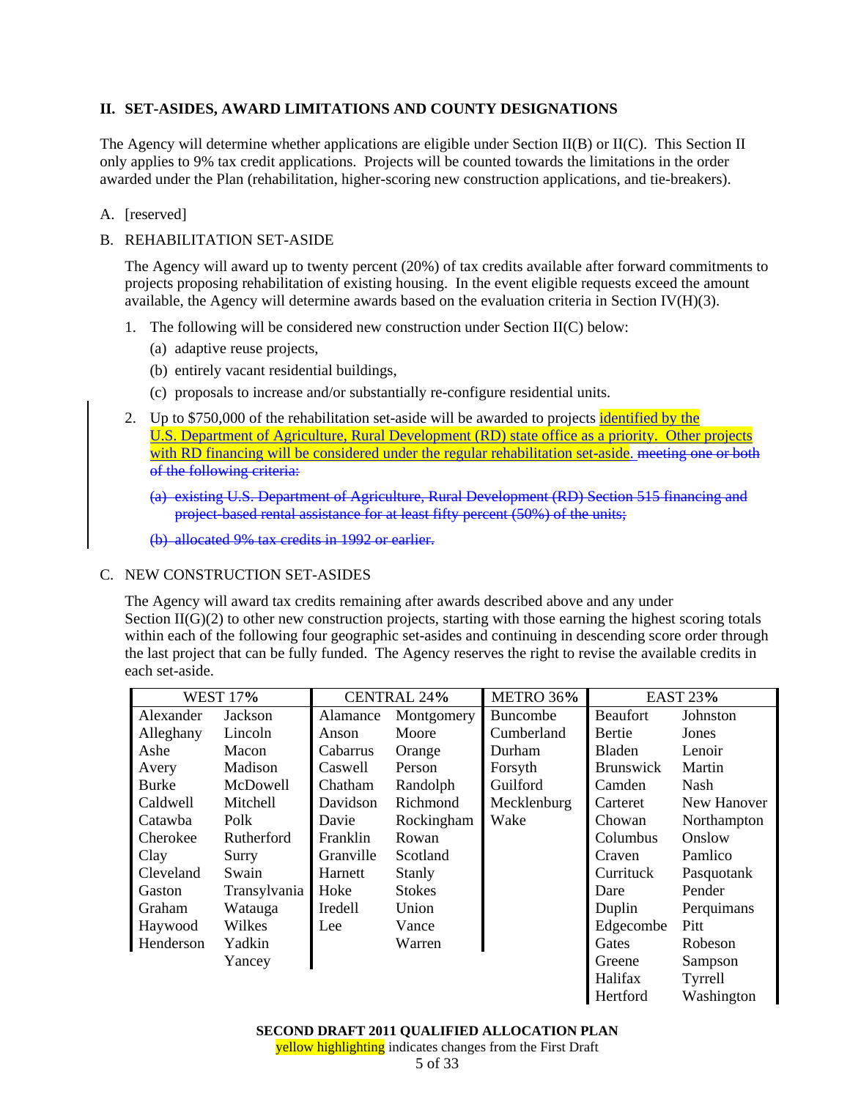## **II. SET-ASIDES, AWARD LIMITATIONS AND COUNTY DESIGNATIONS**

The Agency will determine whether applications are eligible under Section II(B) or II(C). This Section II only applies to 9% tax credit applications. Projects will be counted towards the limitations in the order awarded under the Plan (rehabilitation, higher-scoring new construction applications, and tie-breakers).

## A. [reserved]

## B. REHABILITATION SET-ASIDE

The Agency will award up to twenty percent (20%) of tax credits available after forward commitments to projects proposing rehabilitation of existing housing. In the event eligible requests exceed the amount available, the Agency will determine awards based on the evaluation criteria in Section IV(H)(3).

- 1. The following will be considered new construction under Section II(C) below:
	- (a) adaptive reuse projects,
	- (b) entirely vacant residential buildings,
	- (c) proposals to increase and/or substantially re-configure residential units.
- 2. Up to \$750,000 of the rehabilitation set-aside will be awarded to projects identified by the U.S. Department of Agriculture, Rural Development (RD) state office as a priority. Other projects with RD financing will be considered under the regular rehabilitation set-aside. meeting one or both of the following criteria:
	- (a) existing U.S. Department of Agriculture, Rural Development (RD) Section 515 financing and project-based rental assistance for at least fifty percent (50%) of the units;

(b) allocated 9% tax credits in 1992 or earlier.

## C. NEW CONSTRUCTION SET-ASIDES

The Agency will award tax credits remaining after awards described above and any under Section  $II(G)(2)$  to other new construction projects, starting with those earning the highest scoring totals within each of the following four geographic set-asides and continuing in descending score order through the last project that can be fully funded. The Agency reserves the right to revise the available credits in each set-aside.

| <b>WEST 17%</b> |              | <b>CENTRAL 24%</b>     |            | METRO 36%   | <b>EAST 23%</b>    |             |
|-----------------|--------------|------------------------|------------|-------------|--------------------|-------------|
| Alexander       | Jackson      | Montgomery<br>Alamance |            | Buncombe    | <b>Beaufort</b>    | Johnston    |
| Alleghany       | Lincoln      | Anson                  | Moore      | Cumberland  | Bertie             | Jones       |
| Ashe            | Macon        | Cabarrus               | Orange     | Durham      | <b>Bladen</b>      | Lenoir      |
| Avery           | Madison      | Caswell                | Person     | Forsyth     | <b>Brunswick</b>   | Martin      |
| <b>Burke</b>    | McDowell     | Chatham                | Randolph   | Guilford    | Camden             | Nash        |
| Caldwell        | Mitchell     | Davidson               | Richmond   | Mecklenburg | Carteret           | New Hanover |
| Catawba         | Polk         | Davie                  | Rockingham | Wake        | Chowan             | Northampton |
| Cherokee        | Rutherford   | Franklin<br>Rowan      |            |             | Columbus<br>Onslow |             |
| Clay            | Surry        | Granville              | Scotland   |             | Craven             | Pamlico     |
| Cleveland       | Swain        | Harnett                | Stanly     |             | Currituck          | Pasquotank  |
| Gaston          | Transylvania | <b>Stokes</b><br>Hoke  |            |             | Dare               | Pender      |
| Graham          | Watauga      | Iredell                | Union      |             | Duplin             | Perquimans  |
| Haywood         | Wilkes       | Lee                    | Vance      |             | Edgecombe          | Pitt        |
| Henderson       | Yadkin       |                        | Warren     |             | Gates              | Robeson     |
|                 | Yancey       |                        |            |             | Greene             | Sampson     |
|                 |              |                        |            |             | Halifax            | Tyrrell     |
|                 |              |                        |            |             | Hertford           | Washington  |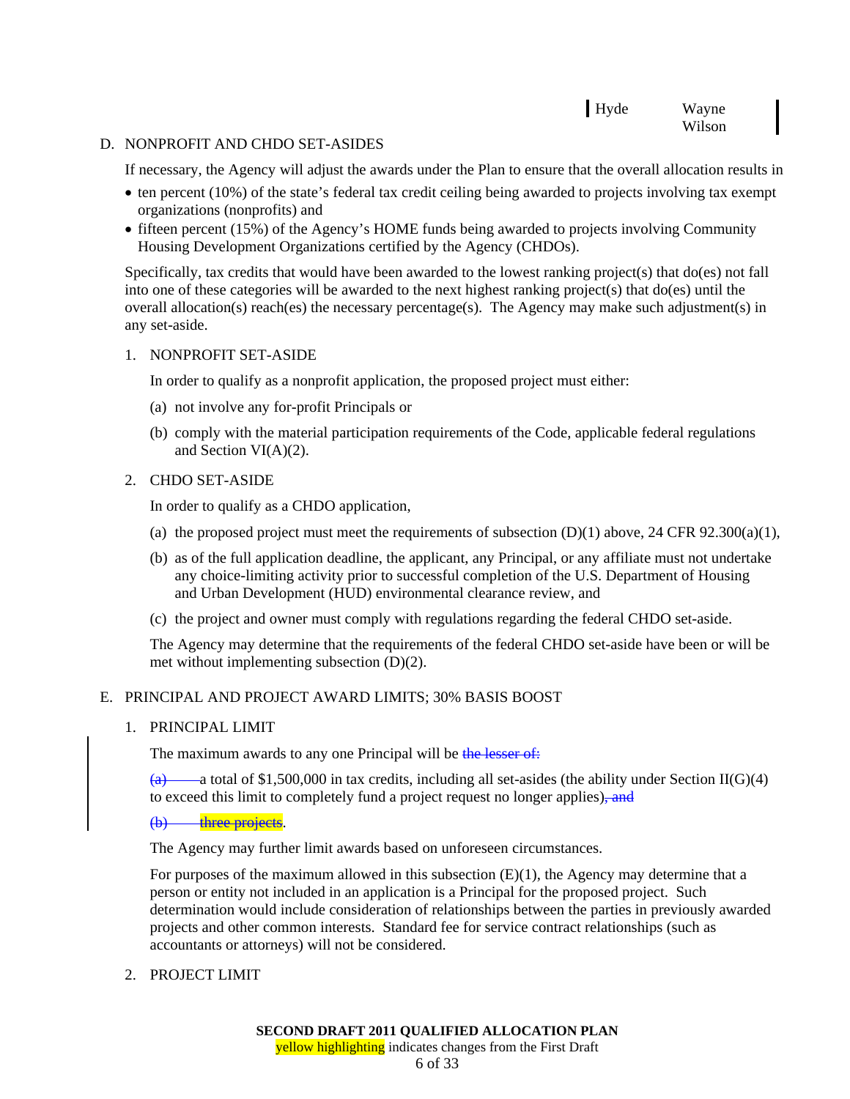## Hyde Wayne Wilson

#### D. NONPROFIT AND CHDO SET-ASIDES

If necessary, the Agency will adjust the awards under the Plan to ensure that the overall allocation results in

- ten percent (10%) of the state's federal tax credit ceiling being awarded to projects involving tax exempt organizations (nonprofits) and
- fifteen percent (15%) of the Agency's HOME funds being awarded to projects involving Community Housing Development Organizations certified by the Agency (CHDOs).

Specifically, tax credits that would have been awarded to the lowest ranking project(s) that do(es) not fall into one of these categories will be awarded to the next highest ranking project(s) that do(es) until the overall allocation(s) reach(es) the necessary percentage(s). The Agency may make such adjustment(s) in any set-aside.

## 1. NONPROFIT SET-ASIDE

In order to qualify as a nonprofit application, the proposed project must either:

- (a) not involve any for-profit Principals or
- (b) comply with the material participation requirements of the Code, applicable federal regulations and Section VI(A)(2).

## 2. CHDO SET-ASIDE

In order to qualify as a CHDO application,

- (a) the proposed project must meet the requirements of subsection  $(D)(1)$  above, 24 CFR 92.300(a)(1),
- (b) as of the full application deadline, the applicant, any Principal, or any affiliate must not undertake any choice-limiting activity prior to successful completion of the U.S. Department of Housing and Urban Development (HUD) environmental clearance review, and
- (c) the project and owner must comply with regulations regarding the federal CHDO set-aside.

The Agency may determine that the requirements of the federal CHDO set-aside have been or will be met without implementing subsection (D)(2).

## E. PRINCIPAL AND PROJECT AWARD LIMITS; 30% BASIS BOOST

1. PRINCIPAL LIMIT

The maximum awards to any one Principal will be the lesser of:

-a total of \$1,500,000 in tax credits, including all set-asides (the ability under Section II(G)(4) to exceed this limit to completely fund a project request no longer applies), and

(b) three projects.

The Agency may further limit awards based on unforeseen circumstances.

For purposes of the maximum allowed in this subsection  $(E)(1)$ , the Agency may determine that a person or entity not included in an application is a Principal for the proposed project. Such determination would include consideration of relationships between the parties in previously awarded projects and other common interests. Standard fee for service contract relationships (such as accountants or attorneys) will not be considered.

2. PROJECT LIMIT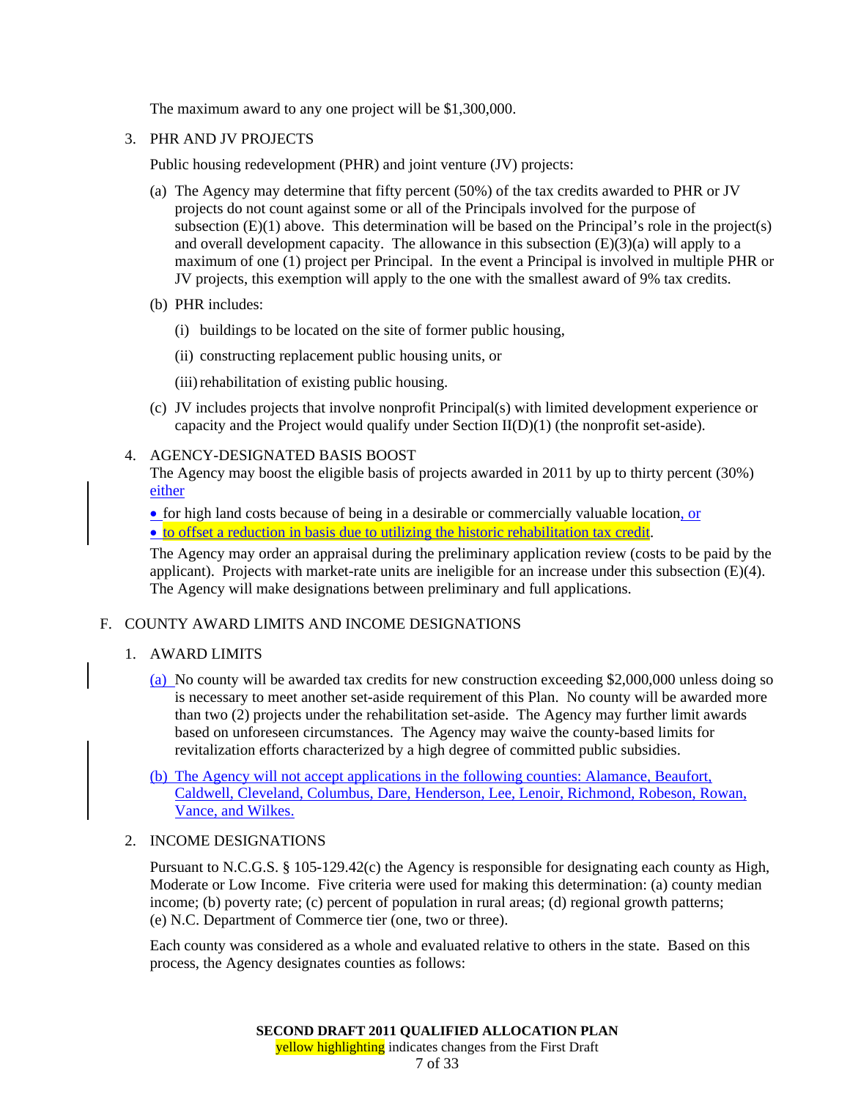The maximum award to any one project will be \$1,300,000.

3. PHR AND JV PROJECTS

Public housing redevelopment (PHR) and joint venture (JV) projects:

- (a) The Agency may determine that fifty percent (50%) of the tax credits awarded to PHR or JV projects do not count against some or all of the Principals involved for the purpose of subsection  $(E)(1)$  above. This determination will be based on the Principal's role in the project(s) and overall development capacity. The allowance in this subsection  $(E)(3)(a)$  will apply to a maximum of one (1) project per Principal. In the event a Principal is involved in multiple PHR or JV projects, this exemption will apply to the one with the smallest award of 9% tax credits.
- (b) PHR includes:
	- (i) buildings to be located on the site of former public housing,
	- (ii) constructing replacement public housing units, or
	- (iii) rehabilitation of existing public housing.
- (c) JV includes projects that involve nonprofit Principal(s) with limited development experience or capacity and the Project would qualify under Section II(D)(1) (the nonprofit set-aside).

## 4. AGENCY-DESIGNATED BASIS BOOST

The Agency may boost the eligible basis of projects awarded in 2011 by up to thirty percent (30%) either

• for high land costs because of being in a desirable or commercially valuable location, or • to offset a reduction in basis due to utilizing the historic rehabilitation tax credit.

The Agency may order an appraisal during the preliminary application review (costs to be paid by the applicant). Projects with market-rate units are ineligible for an increase under this subsection (E)(4). The Agency will make designations between preliminary and full applications.

#### F. COUNTY AWARD LIMITS AND INCOME DESIGNATIONS

#### 1. AWARD LIMITS

- (a) No county will be awarded tax credits for new construction exceeding \$2,000,000 unless doing so is necessary to meet another set-aside requirement of this Plan. No county will be awarded more than two (2) projects under the rehabilitation set-aside. The Agency may further limit awards based on unforeseen circumstances. The Agency may waive the county-based limits for revitalization efforts characterized by a high degree of committed public subsidies.
- (b) The Agency will not accept applications in the following counties: Alamance, Beaufort, Caldwell, Cleveland, Columbus, Dare, Henderson, Lee, Lenoir, Richmond, Robeson, Rowan, Vance, and Wilkes.

#### 2. INCOME DESIGNATIONS

Pursuant to N.C.G.S. § 105-129.42(c) the Agency is responsible for designating each county as High, Moderate or Low Income. Five criteria were used for making this determination: (a) county median income; (b) poverty rate; (c) percent of population in rural areas; (d) regional growth patterns; (e) N.C. Department of Commerce tier (one, two or three).

Each county was considered as a whole and evaluated relative to others in the state. Based on this process, the Agency designates counties as follows: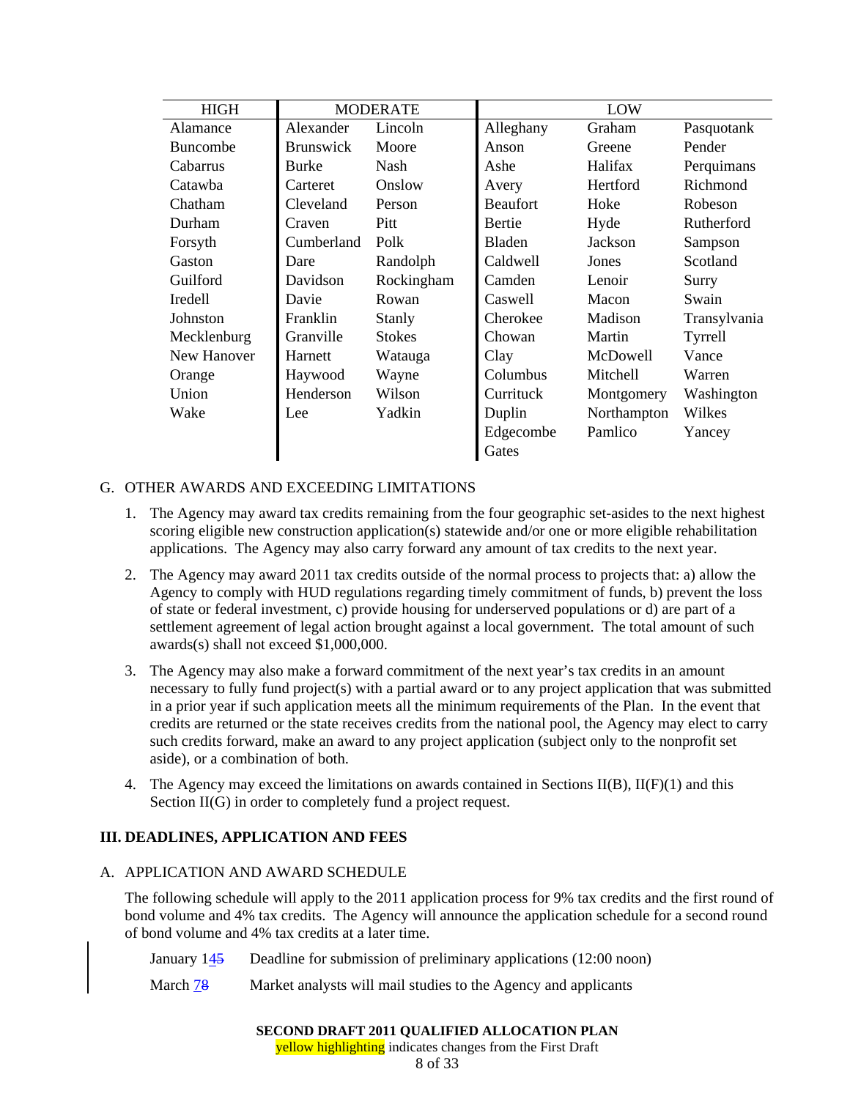| <b>HIGH</b>     | <b>MODERATE</b>  |               |                 | LOW         |              |
|-----------------|------------------|---------------|-----------------|-------------|--------------|
| Alamance        | Alexander        | Lincoln       | Alleghany       | Graham      | Pasquotank   |
| <b>Buncombe</b> | <b>Brunswick</b> | Moore         | Anson           | Greene      | Pender       |
| Cabarrus        | <b>Burke</b>     | <b>Nash</b>   | Ashe            | Halifax     | Perquimans   |
| Catawba         | Carteret         | Onslow        | Avery           | Hertford    | Richmond     |
| Chatham         | Cleveland        | Person        | <b>Beaufort</b> | Hoke        | Robeson      |
| Durham          | Craven           | Pitt          | <b>Bertie</b>   | Hyde        | Rutherford   |
| Forsyth         | Cumberland       | Polk          | <b>Bladen</b>   | Jackson     | Sampson      |
| Gaston          | Dare             | Randolph      | Caldwell        | Jones       | Scotland     |
| Guilford        | Davidson         | Rockingham    | Camden          | Lenoir      | Surry        |
| Iredell         | Davie            | Rowan         | Caswell         | Macon       | Swain        |
| Johnston        | Franklin         | Stanly        | Cherokee        | Madison     | Transylvania |
| Mecklenburg     | Granville        | <b>Stokes</b> | Chowan          | Martin      | Tyrrell      |
| New Hanover     | Harnett          | Watauga       | Clay            | McDowell    | Vance        |
| Orange          | Haywood          | Wayne         | Columbus        | Mitchell    | Warren       |
| Union           | Henderson        | Wilson        | Currituck       | Montgomery  | Washington   |
| Wake            | Lee              | Yadkin        | Duplin          | Northampton | Wilkes       |
|                 |                  |               | Edgecombe       | Pamlico     | Yancey       |
|                 |                  |               | Gates           |             |              |

## G. OTHER AWARDS AND EXCEEDING LIMITATIONS

- 1. The Agency may award tax credits remaining from the four geographic set-asides to the next highest scoring eligible new construction application(s) statewide and/or one or more eligible rehabilitation applications. The Agency may also carry forward any amount of tax credits to the next year.
- 2. The Agency may award 2011 tax credits outside of the normal process to projects that: a) allow the Agency to comply with HUD regulations regarding timely commitment of funds, b) prevent the loss of state or federal investment, c) provide housing for underserved populations or d) are part of a settlement agreement of legal action brought against a local government. The total amount of such awards(s) shall not exceed \$1,000,000.
- 3. The Agency may also make a forward commitment of the next year's tax credits in an amount necessary to fully fund project(s) with a partial award or to any project application that was submitted in a prior year if such application meets all the minimum requirements of the Plan. In the event that credits are returned or the state receives credits from the national pool, the Agency may elect to carry such credits forward, make an award to any project application (subject only to the nonprofit set aside), or a combination of both.
- 4. The Agency may exceed the limitations on awards contained in Sections  $II(B)$ ,  $II(F)(1)$  and this Section  $II(G)$  in order to completely fund a project request.

## **III. DEADLINES, APPLICATION AND FEES**

#### A. APPLICATION AND AWARD SCHEDULE

The following schedule will apply to the 2011 application process for 9% tax credits and the first round of bond volume and 4% tax credits. The Agency will announce the application schedule for a second round of bond volume and 4% tax credits at a later time.

January 145 Deadline for submission of preliminary applications (12:00 noon)

March **78** Market analysts will mail studies to the Agency and applicants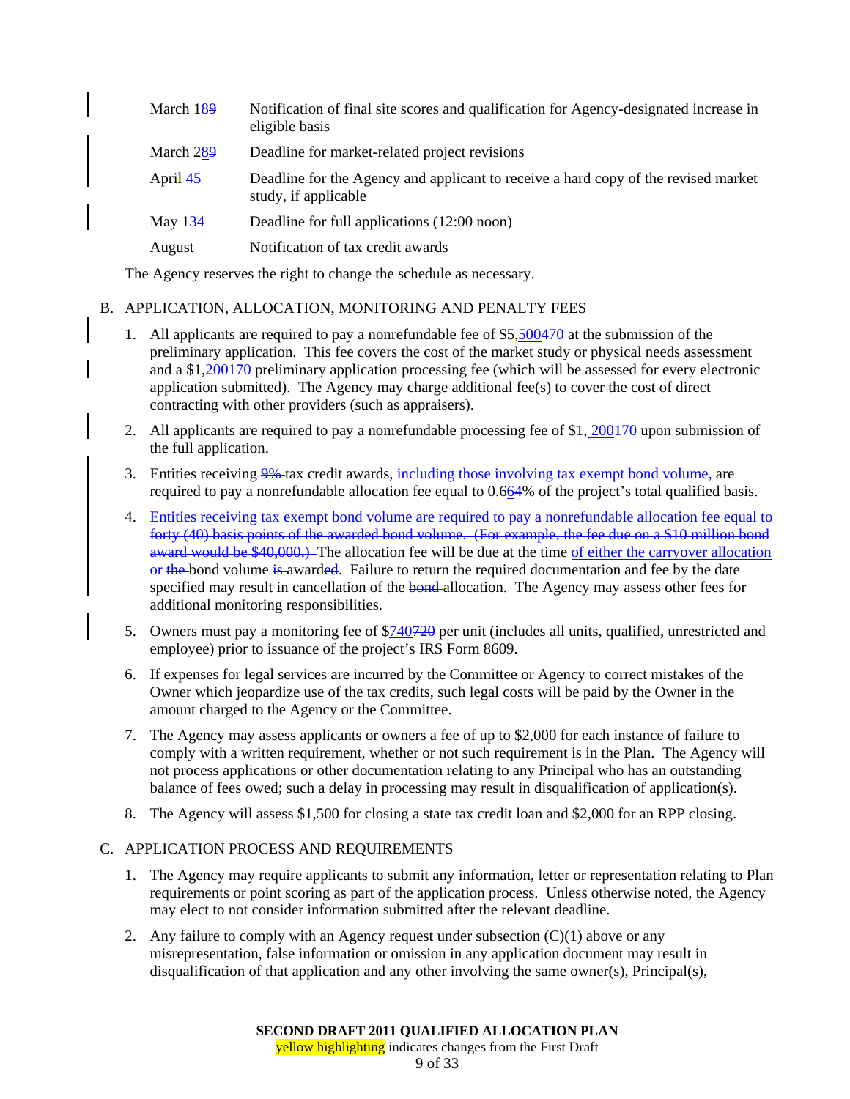| March 189 | Notification of final site scores and qualification for Agency-designated increase in<br>eligible basis    |
|-----------|------------------------------------------------------------------------------------------------------------|
| March 289 | Deadline for market-related project revisions                                                              |
| April 45  | Deadline for the Agency and applicant to receive a hard copy of the revised market<br>study, if applicable |
| May $134$ | Deadline for full applications (12:00 noon)                                                                |
| August    | Notification of tax credit awards                                                                          |

The Agency reserves the right to change the schedule as necessary.

## B. APPLICATION, ALLOCATION, MONITORING AND PENALTY FEES

- 1. All applicants are required to pay a nonrefundable fee of \$5,500470 at the submission of the preliminary application. This fee covers the cost of the market study or physical needs assessment and a \$1,200470 preliminary application processing fee (which will be assessed for every electronic application submitted). The Agency may charge additional fee(s) to cover the cost of direct contracting with other providers (such as appraisers).
- 2. All applicants are required to pay a nonrefundable processing fee of \$1, 200470 upon submission of the full application.
- 3. Entities receiving 9%-tax credit awards, including those involving tax exempt bond volume, are required to pay a nonrefundable allocation fee equal to 0.664% of the project's total qualified basis.
- 4. Entities receiving tax exempt bond volume are required to pay a nonrefundable allocation fee equal to forty (40) basis points of the awarded bond volume. (For example, the fee due on a \$10 million bond award would be \$40,000.) The allocation fee will be due at the time of either the carryover allocation or the bond volume is awarded. Failure to return the required documentation and fee by the date specified may result in cancellation of the **bond**-allocation. The Agency may assess other fees for additional monitoring responsibilities.
- 5. Owners must pay a monitoring fee of \$740720 per unit (includes all units, qualified, unrestricted and employee) prior to issuance of the project's IRS Form 8609.
- 6. If expenses for legal services are incurred by the Committee or Agency to correct mistakes of the Owner which jeopardize use of the tax credits, such legal costs will be paid by the Owner in the amount charged to the Agency or the Committee.
- 7. The Agency may assess applicants or owners a fee of up to \$2,000 for each instance of failure to comply with a written requirement, whether or not such requirement is in the Plan. The Agency will not process applications or other documentation relating to any Principal who has an outstanding balance of fees owed; such a delay in processing may result in disqualification of application(s).
- 8. The Agency will assess \$1,500 for closing a state tax credit loan and \$2,000 for an RPP closing.

## C. APPLICATION PROCESS AND REQUIREMENTS

- 1. The Agency may require applicants to submit any information, letter or representation relating to Plan requirements or point scoring as part of the application process. Unless otherwise noted, the Agency may elect to not consider information submitted after the relevant deadline.
- 2. Any failure to comply with an Agency request under subsection  $(C)(1)$  above or any misrepresentation, false information or omission in any application document may result in disqualification of that application and any other involving the same owner(s), Principal(s),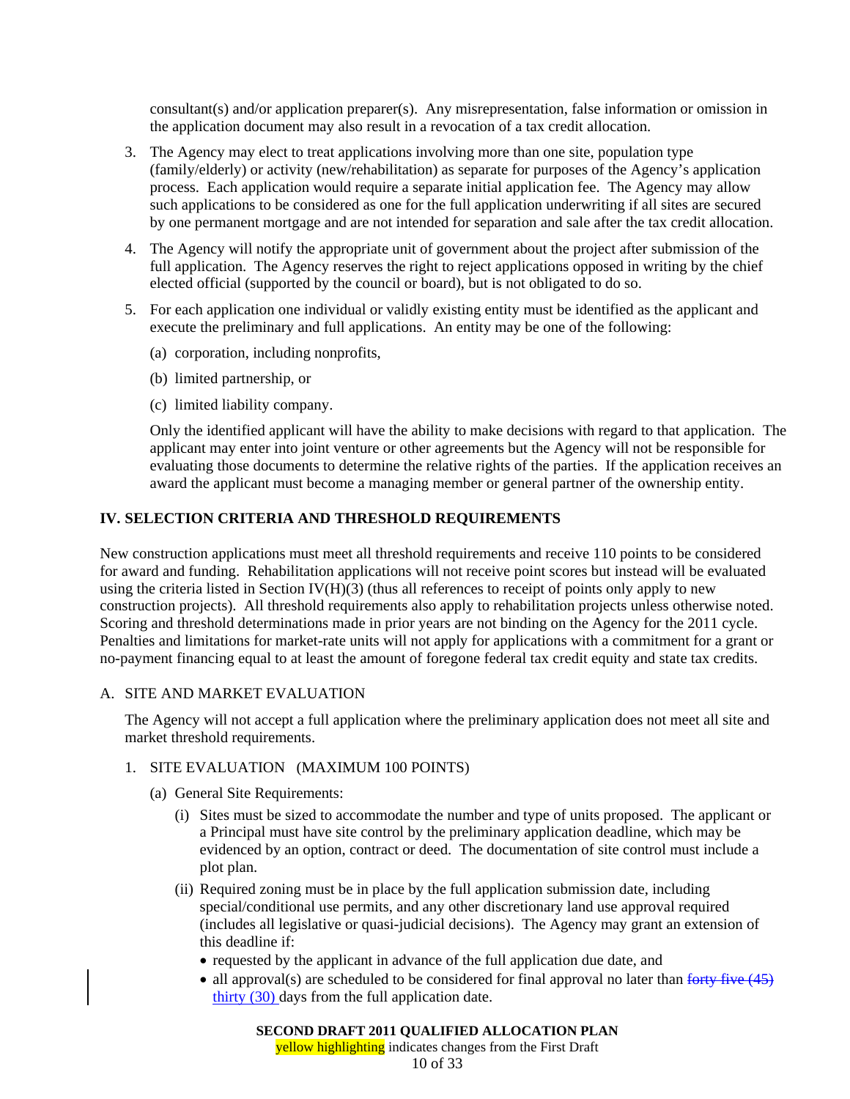consultant(s) and/or application preparer(s). Any misrepresentation, false information or omission in the application document may also result in a revocation of a tax credit allocation.

- 3. The Agency may elect to treat applications involving more than one site, population type (family/elderly) or activity (new/rehabilitation) as separate for purposes of the Agency's application process. Each application would require a separate initial application fee. The Agency may allow such applications to be considered as one for the full application underwriting if all sites are secured by one permanent mortgage and are not intended for separation and sale after the tax credit allocation.
- 4. The Agency will notify the appropriate unit of government about the project after submission of the full application. The Agency reserves the right to reject applications opposed in writing by the chief elected official (supported by the council or board), but is not obligated to do so.
- 5. For each application one individual or validly existing entity must be identified as the applicant and execute the preliminary and full applications. An entity may be one of the following:
	- (a) corporation, including nonprofits,
	- (b) limited partnership, or
	- (c) limited liability company.

Only the identified applicant will have the ability to make decisions with regard to that application. The applicant may enter into joint venture or other agreements but the Agency will not be responsible for evaluating those documents to determine the relative rights of the parties. If the application receives an award the applicant must become a managing member or general partner of the ownership entity.

## **IV. SELECTION CRITERIA AND THRESHOLD REQUIREMENTS**

New construction applications must meet all threshold requirements and receive 110 points to be considered for award and funding. Rehabilitation applications will not receive point scores but instead will be evaluated using the criteria listed in Section IV( $H$ )(3) (thus all references to receipt of points only apply to new construction projects). All threshold requirements also apply to rehabilitation projects unless otherwise noted. Scoring and threshold determinations made in prior years are not binding on the Agency for the 2011 cycle. Penalties and limitations for market-rate units will not apply for applications with a commitment for a grant or no-payment financing equal to at least the amount of foregone federal tax credit equity and state tax credits.

## A. SITE AND MARKET EVALUATION

The Agency will not accept a full application where the preliminary application does not meet all site and market threshold requirements.

## 1. SITE EVALUATION (MAXIMUM 100 POINTS)

- (a) General Site Requirements:
	- (i) Sites must be sized to accommodate the number and type of units proposed. The applicant or a Principal must have site control by the preliminary application deadline, which may be evidenced by an option, contract or deed. The documentation of site control must include a plot plan.
	- (ii) Required zoning must be in place by the full application submission date, including special/conditional use permits, and any other discretionary land use approval required (includes all legislative or quasi-judicial decisions). The Agency may grant an extension of this deadline if:
		- requested by the applicant in advance of the full application due date, and
		- all approval(s) are scheduled to be considered for final approval no later than forty five  $(45)$ thirty (30) days from the full application date.

## **SECOND DRAFT 2011 QUALIFIED ALLOCATION PLAN**

yellow highlighting indicates changes from the First Draft

10 of 33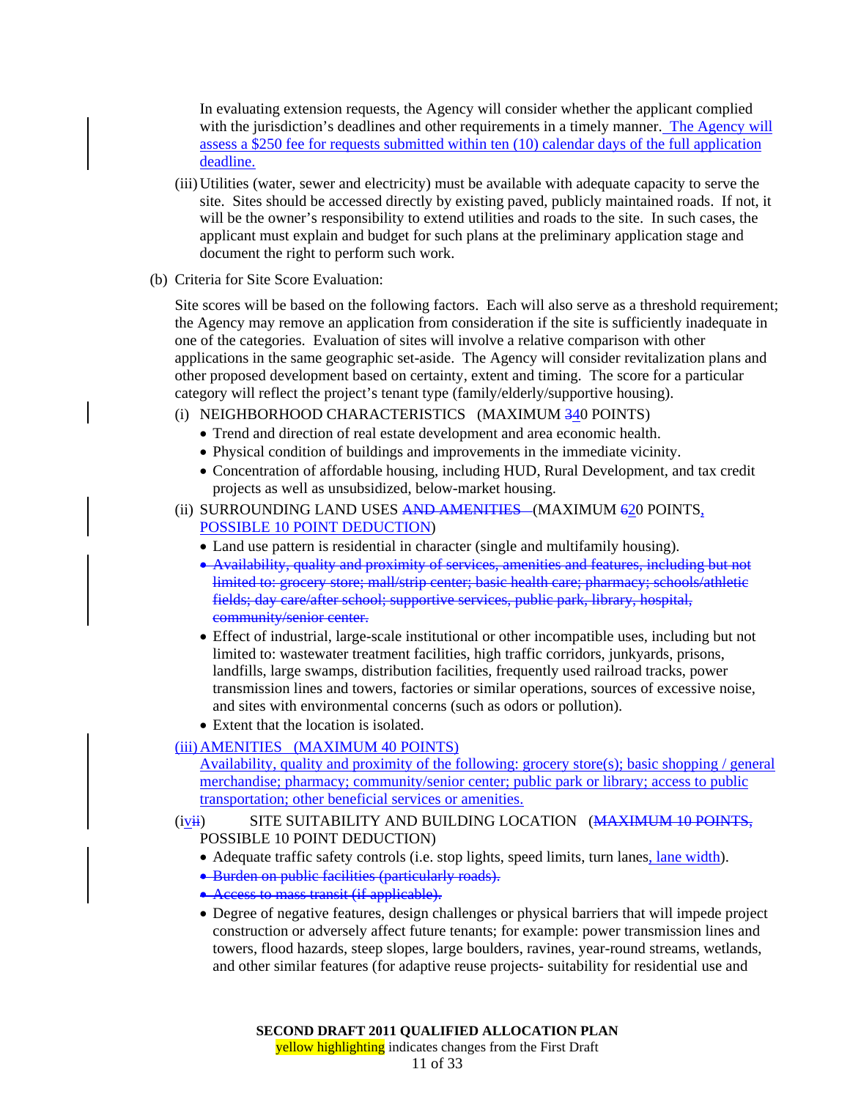In evaluating extension requests, the Agency will consider whether the applicant complied with the jurisdiction's deadlines and other requirements in a timely manner. The Agency will assess a \$250 fee for requests submitted within ten (10) calendar days of the full application deadline.

- (iii) Utilities (water, sewer and electricity) must be available with adequate capacity to serve the site. Sites should be accessed directly by existing paved, publicly maintained roads. If not, it will be the owner's responsibility to extend utilities and roads to the site. In such cases, the applicant must explain and budget for such plans at the preliminary application stage and document the right to perform such work.
- (b) Criteria for Site Score Evaluation:

Site scores will be based on the following factors. Each will also serve as a threshold requirement; the Agency may remove an application from consideration if the site is sufficiently inadequate in one of the categories. Evaluation of sites will involve a relative comparison with other applications in the same geographic set-aside. The Agency will consider revitalization plans and other proposed development based on certainty, extent and timing. The score for a particular category will reflect the project's tenant type (family/elderly/supportive housing).

- (i) NEIGHBORHOOD CHARACTERISTICS (MAXIMUM 340 POINTS)
	- Trend and direction of real estate development and area economic health.
	- Physical condition of buildings and improvements in the immediate vicinity.
	- Concentration of affordable housing, including HUD, Rural Development, and tax credit projects as well as unsubsidized, below-market housing.
- (ii) SURROUNDING LAND USES AND AMENITIES (MAXIMUM 620 POINTS, POSSIBLE 10 POINT DEDUCTION)
	- Land use pattern is residential in character (single and multifamily housing).
	- Availability, quality and proximity of services, amenities and features, including but not limited to: grocery store; mall/strip center; basic health care; pharmacy; schools/athletic fields; day care/after school; supportive services, public park, library, hospital, community/senior center.
	- Effect of industrial, large-scale institutional or other incompatible uses, including but not limited to: wastewater treatment facilities, high traffic corridors, junkyards, prisons, landfills, large swamps, distribution facilities, frequently used railroad tracks, power transmission lines and towers, factories or similar operations, sources of excessive noise, and sites with environmental concerns (such as odors or pollution).
	- Extent that the location is isolated.

## (iii) AMENITIES (MAXIMUM 40 POINTS)

Availability, quality and proximity of the following: grocery store(s); basic shopping / general merchandise; pharmacy; community/senior center; public park or library; access to public transportation; other beneficial services or amenities.

(iv<del>ii</del>) SITE SUITABILITY AND BUILDING LOCATION (MAXIMUM 10 POINTS, POSSIBLE 10 POINT DEDUCTION)

- Adequate traffic safety controls (i.e. stop lights, speed limits, turn lanes, lane width).
- Burden on public facilities (particularly roads).
- Access to mass transit (if applicable).
- Degree of negative features, design challenges or physical barriers that will impede project construction or adversely affect future tenants; for example: power transmission lines and towers, flood hazards, steep slopes, large boulders, ravines, year-round streams, wetlands, and other similar features (for adaptive reuse projects- suitability for residential use and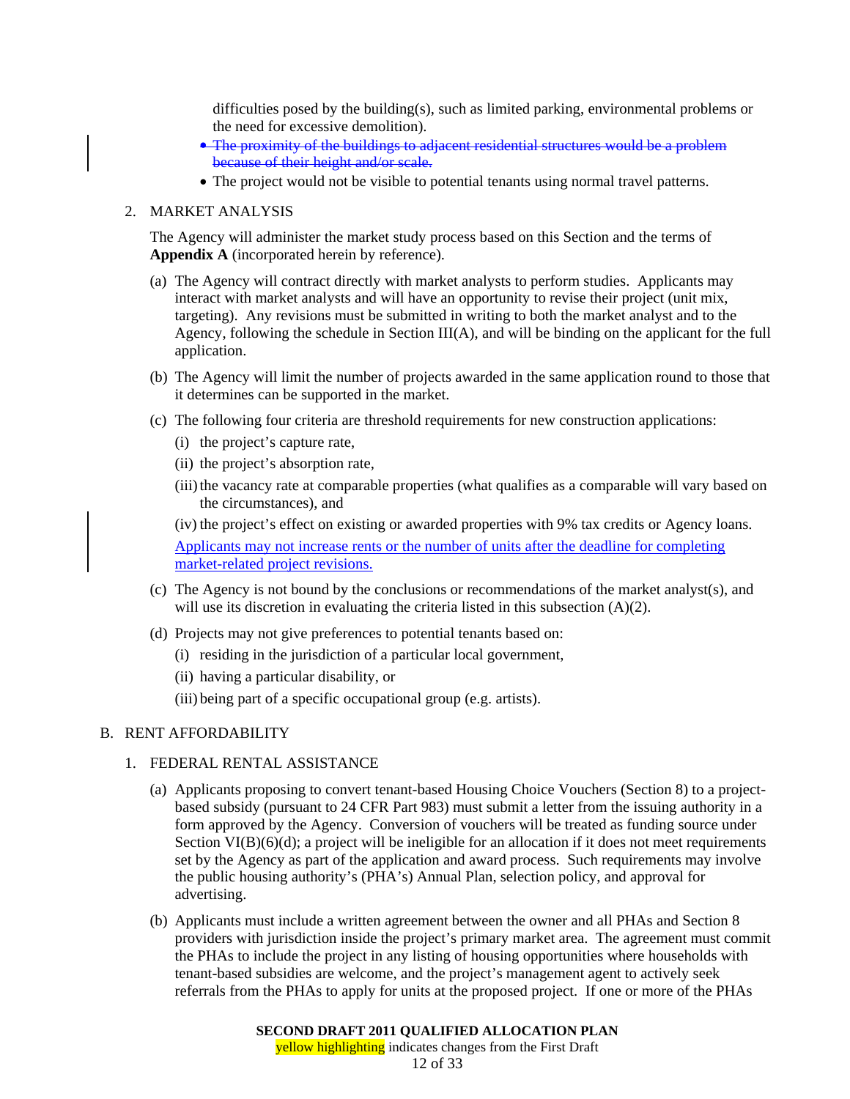difficulties posed by the building(s), such as limited parking, environmental problems or the need for excessive demolition).

- The proximity of the buildings to adjacent residential structures would be a problem because of their height and/or scale.
- The project would not be visible to potential tenants using normal travel patterns.

#### 2. MARKET ANALYSIS

The Agency will administer the market study process based on this Section and the terms of **Appendix A** (incorporated herein by reference).

- (a) The Agency will contract directly with market analysts to perform studies. Applicants may interact with market analysts and will have an opportunity to revise their project (unit mix, targeting). Any revisions must be submitted in writing to both the market analyst and to the Agency, following the schedule in Section III(A), and will be binding on the applicant for the full application.
- (b) The Agency will limit the number of projects awarded in the same application round to those that it determines can be supported in the market.
- (c) The following four criteria are threshold requirements for new construction applications:
	- (i) the project's capture rate,
	- (ii) the project's absorption rate,
	- (iii) the vacancy rate at comparable properties (what qualifies as a comparable will vary based on the circumstances), and

(iv) the project's effect on existing or awarded properties with 9% tax credits or Agency loans. Applicants may not increase rents or the number of units after the deadline for completing market-related project revisions.

- (c) The Agency is not bound by the conclusions or recommendations of the market analyst(s), and will use its discretion in evaluating the criteria listed in this subsection (A)(2).
- (d) Projects may not give preferences to potential tenants based on:
	- (i) residing in the jurisdiction of a particular local government,
	- (ii) having a particular disability, or
	- (iii) being part of a specific occupational group (e.g. artists).

## B. RENT AFFORDABILITY

- 1. FEDERAL RENTAL ASSISTANCE
	- (a) Applicants proposing to convert tenant-based Housing Choice Vouchers (Section 8) to a projectbased subsidy (pursuant to 24 CFR Part 983) must submit a letter from the issuing authority in a form approved by the Agency. Conversion of vouchers will be treated as funding source under Section  $VI(B)(6)(d)$ ; a project will be ineligible for an allocation if it does not meet requirements set by the Agency as part of the application and award process. Such requirements may involve the public housing authority's (PHA's) Annual Plan, selection policy, and approval for advertising.
	- (b) Applicants must include a written agreement between the owner and all PHAs and Section 8 providers with jurisdiction inside the project's primary market area. The agreement must commit the PHAs to include the project in any listing of housing opportunities where households with tenant-based subsidies are welcome, and the project's management agent to actively seek referrals from the PHAs to apply for units at the proposed project. If one or more of the PHAs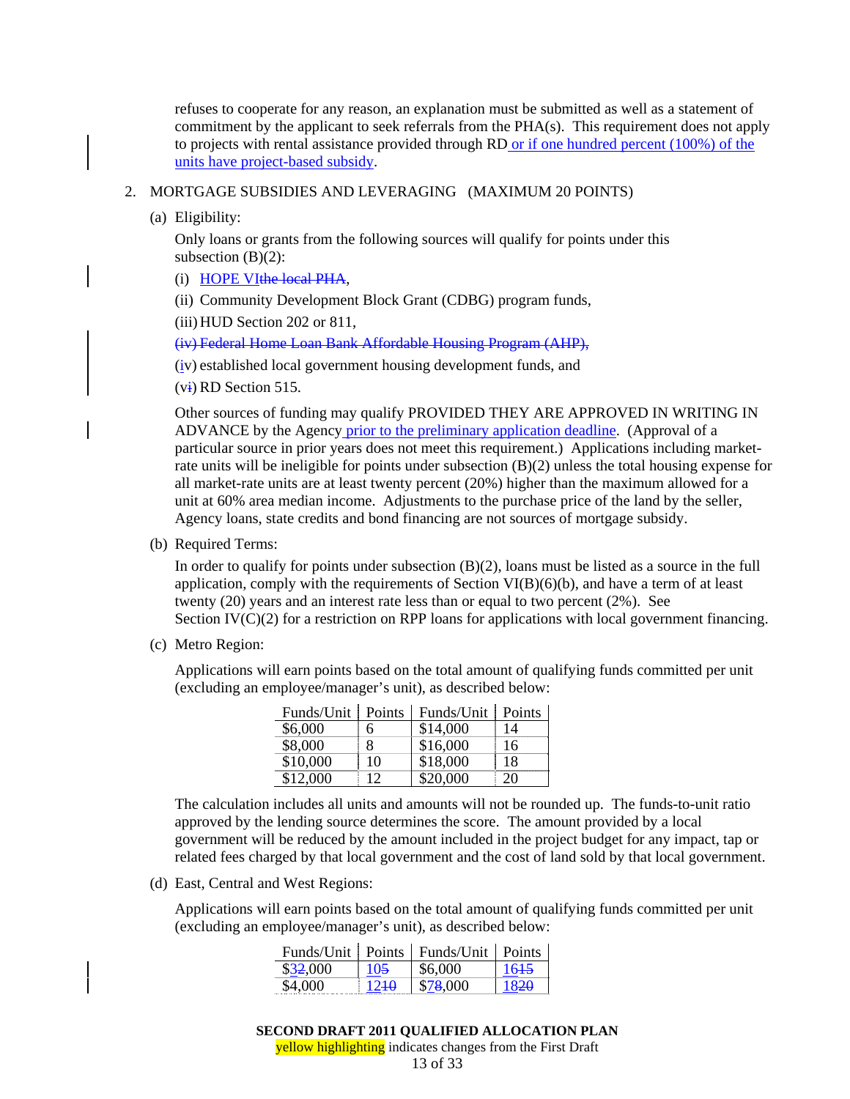refuses to cooperate for any reason, an explanation must be submitted as well as a statement of commitment by the applicant to seek referrals from the PHA(s). This requirement does not apply to projects with rental assistance provided through RD or if one hundred percent (100%) of the units have project-based subsidy.

#### 2. MORTGAGE SUBSIDIES AND LEVERAGING (MAXIMUM 20 POINTS)

(a) Eligibility:

Only loans or grants from the following sources will qualify for points under this subsection  $(B)(2)$ :

- (i) HOPE VIthe local PHA,
- (ii) Community Development Block Grant (CDBG) program funds,

(iii) HUD Section 202 or 811,

(iv) Federal Home Loan Bank Affordable Housing Program (AHP),

(iv) established local government housing development funds, and

 $(v<sub>i</sub>)$  RD Section 515.

Other sources of funding may qualify PROVIDED THEY ARE APPROVED IN WRITING IN ADVANCE by the Agency prior to the preliminary application deadline. (Approval of a particular source in prior years does not meet this requirement.) Applications including marketrate units will be ineligible for points under subsection (B)(2) unless the total housing expense for all market-rate units are at least twenty percent (20%) higher than the maximum allowed for a unit at 60% area median income. Adjustments to the purchase price of the land by the seller, Agency loans, state credits and bond financing are not sources of mortgage subsidy.

(b) Required Terms:

In order to qualify for points under subsection (B)(2), loans must be listed as a source in the full application, comply with the requirements of Section  $VI(B)(6)(b)$ , and have a term of at least twenty (20) years and an interest rate less than or equal to two percent (2%). See Section IV(C)(2) for a restriction on RPP loans for applications with local government financing.

(c) Metro Region:

Applications will earn points based on the total amount of qualifying funds committed per unit (excluding an employee/manager's unit), as described below:

| Funds/Unit | Points | Funds/Unit | Points |
|------------|--------|------------|--------|
| \$6,000    | 6      | \$14,000   | 14     |
| \$8,000    | 8      | \$16,000   | 16     |
| \$10,000   | 10     | \$18,000   | 18     |
| \$12,000   | 12     | \$20,000   | 20     |

The calculation includes all units and amounts will not be rounded up. The funds-to-unit ratio approved by the lending source determines the score. The amount provided by a local government will be reduced by the amount included in the project budget for any impact, tap or related fees charged by that local government and the cost of land sold by that local government.

(d) East, Central and West Regions:

Applications will earn points based on the total amount of qualifying funds committed per unit (excluding an employee/manager's unit), as described below:

|          |                  | Funds/Unit   Points   Funds/Unit   Points |      |
|----------|------------------|-------------------------------------------|------|
| \$32,000 | 105              | \$6,000                                   | 1645 |
| \$4,000  | 12 <del>10</del> | \$78,000                                  | 1820 |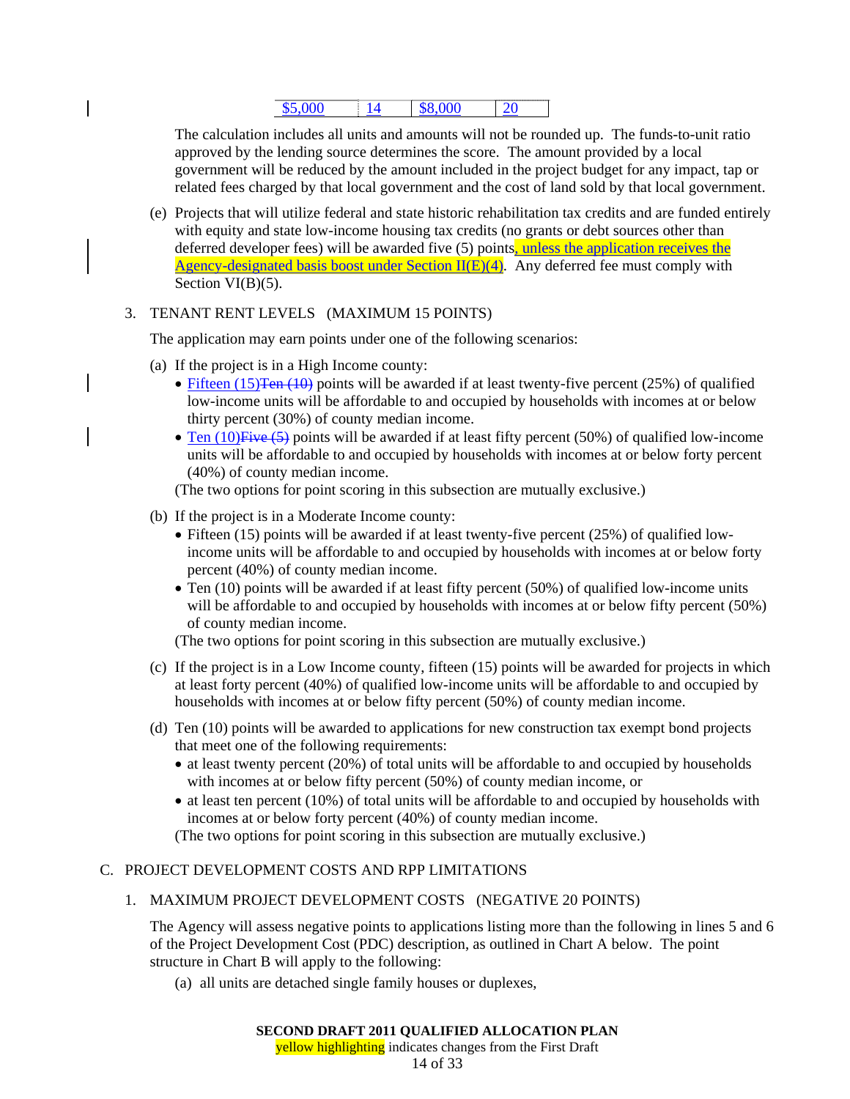## \$5,000 14 \$8,000 20

The calculation includes all units and amounts will not be rounded up. The funds-to-unit ratio approved by the lending source determines the score. The amount provided by a local government will be reduced by the amount included in the project budget for any impact, tap or related fees charged by that local government and the cost of land sold by that local government.

(e) Projects that will utilize federal and state historic rehabilitation tax credits and are funded entirely with equity and state low-income housing tax credits (no grants or debt sources other than deferred developer fees) will be awarded five  $(5)$  points, unless the application receives the Agency-designated basis boost under Section  $II(E)(4)$ . Any deferred fee must comply with Section VI(B)(5).

## 3. TENANT RENT LEVELS (MAXIMUM 15 POINTS)

The application may earn points under one of the following scenarios:

- (a) If the project is in a High Income county:
	- Fifteen (15) Ten  $(10)$  points will be awarded if at least twenty-five percent (25%) of qualified low-income units will be affordable to and occupied by households with incomes at or below thirty percent (30%) of county median income.
	- Ten (10) Five (5) points will be awarded if at least fifty percent (50%) of qualified low-income units will be affordable to and occupied by households with incomes at or below forty percent (40%) of county median income.

(The two options for point scoring in this subsection are mutually exclusive.)

- (b) If the project is in a Moderate Income county:
	- Fifteen (15) points will be awarded if at least twenty-five percent (25%) of qualified lowincome units will be affordable to and occupied by households with incomes at or below forty percent (40%) of county median income.
	- Ten (10) points will be awarded if at least fifty percent (50%) of qualified low-income units will be affordable to and occupied by households with incomes at or below fifty percent (50%) of county median income.

(The two options for point scoring in this subsection are mutually exclusive.)

- (c) If the project is in a Low Income county, fifteen (15) points will be awarded for projects in which at least forty percent (40%) of qualified low-income units will be affordable to and occupied by households with incomes at or below fifty percent (50%) of county median income.
- (d) Ten (10) points will be awarded to applications for new construction tax exempt bond projects that meet one of the following requirements:
	- at least twenty percent (20%) of total units will be affordable to and occupied by households with incomes at or below fifty percent (50%) of county median income, or
	- at least ten percent (10%) of total units will be affordable to and occupied by households with incomes at or below forty percent (40%) of county median income.

(The two options for point scoring in this subsection are mutually exclusive.)

## C. PROJECT DEVELOPMENT COSTS AND RPP LIMITATIONS

## 1. MAXIMUM PROJECT DEVELOPMENT COSTS (NEGATIVE 20 POINTS)

The Agency will assess negative points to applications listing more than the following in lines 5 and 6 of the Project Development Cost (PDC) description, as outlined in Chart A below. The point structure in Chart B will apply to the following:

(a) all units are detached single family houses or duplexes,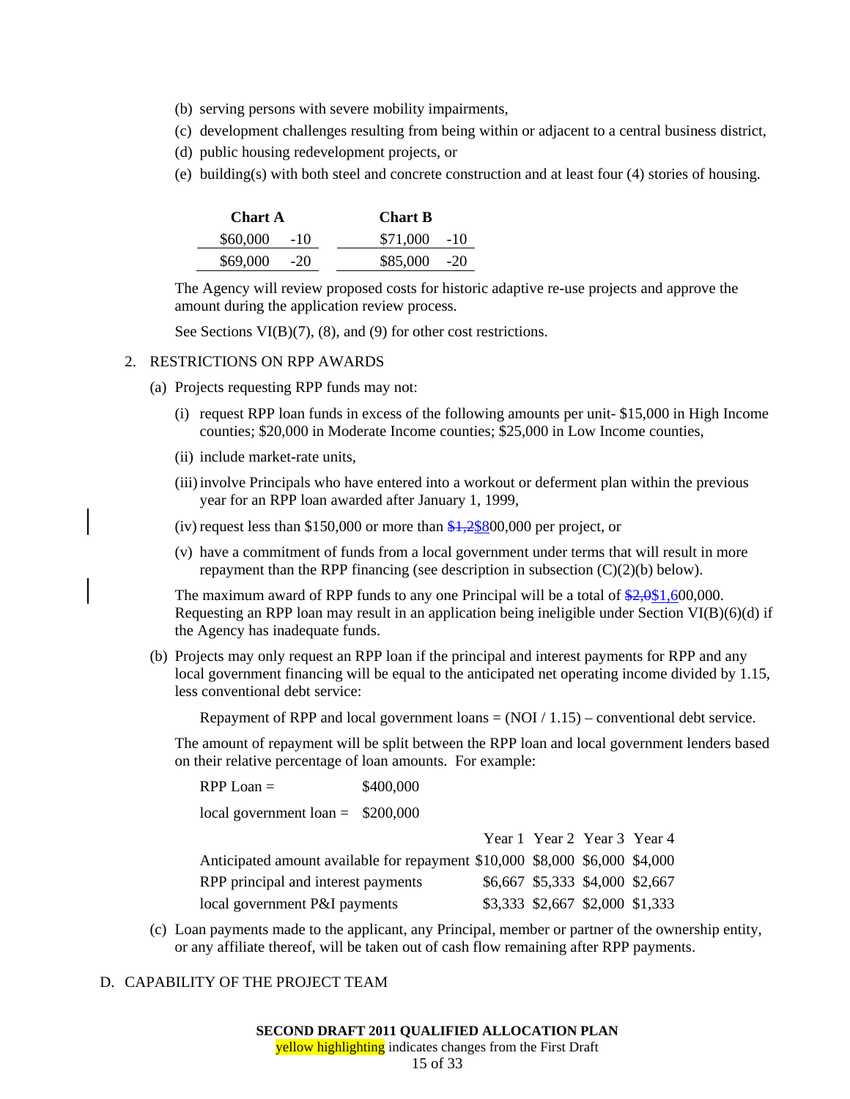- (b) serving persons with severe mobility impairments,
- (c) development challenges resulting from being within or adjacent to a central business district,
- (d) public housing redevelopment projects, or
- (e) building(s) with both steel and concrete construction and at least four (4) stories of housing.

| <b>Chart A</b> | <b>Chart B</b> |  |
|----------------|----------------|--|
| $$60,000$ -10  | $$71,000$ -10  |  |
| $$69,000$ -20  | $$85,000$ -20  |  |

The Agency will review proposed costs for historic adaptive re-use projects and approve the amount during the application review process.

See Sections VI(B)(7), (8), and (9) for other cost restrictions.

#### 2. RESTRICTIONS ON RPP AWARDS

- (a) Projects requesting RPP funds may not:
	- (i) request RPP loan funds in excess of the following amounts per unit- \$15,000 in High Income counties; \$20,000 in Moderate Income counties; \$25,000 in Low Income counties,
	- (ii) include market-rate units,
	- (iii) involve Principals who have entered into a workout or deferment plan within the previous year for an RPP loan awarded after January 1, 1999,
	- (iv) request less than  $$150,000$  or more than  $$1,2$800,000$  per project, or
	- (v) have a commitment of funds from a local government under terms that will result in more repayment than the RPP financing (see description in subsection  $(C)(2)(b)$  below).

The maximum award of RPP funds to any one Principal will be a total of  $\frac{$2,0$1,600,000.}{$2,0$00,000.}$ Requesting an RPP loan may result in an application being ineligible under Section VI(B)(6)(d) if the Agency has inadequate funds.

(b) Projects may only request an RPP loan if the principal and interest payments for RPP and any local government financing will be equal to the anticipated net operating income divided by 1.15, less conventional debt service:

Repayment of RPP and local government loans  $= (NOI / 1.15)$  – conventional debt service.

The amount of repayment will be split between the RPP loan and local government lenders based on their relative percentage of loan amounts. For example:

| $RPP$ Loan $=$                                                              | \$400,000                       |                                 |  |  |
|-----------------------------------------------------------------------------|---------------------------------|---------------------------------|--|--|
| local government loan = $$200,000$                                          |                                 |                                 |  |  |
|                                                                             |                                 | Year 1 Year 2 Year 3 Year 4     |  |  |
| Anticipated amount available for repayment \$10,000 \$8,000 \$6,000 \$4,000 |                                 |                                 |  |  |
| RPP principal and interest payments                                         |                                 | \$6,667 \$5,333 \$4,000 \$2,667 |  |  |
| local government P&I payments                                               | \$3,333 \$2,667 \$2,000 \$1,333 |                                 |  |  |

(c) Loan payments made to the applicant, any Principal, member or partner of the ownership entity, or any affiliate thereof, will be taken out of cash flow remaining after RPP payments.

## D. CAPABILITY OF THE PROJECT TEAM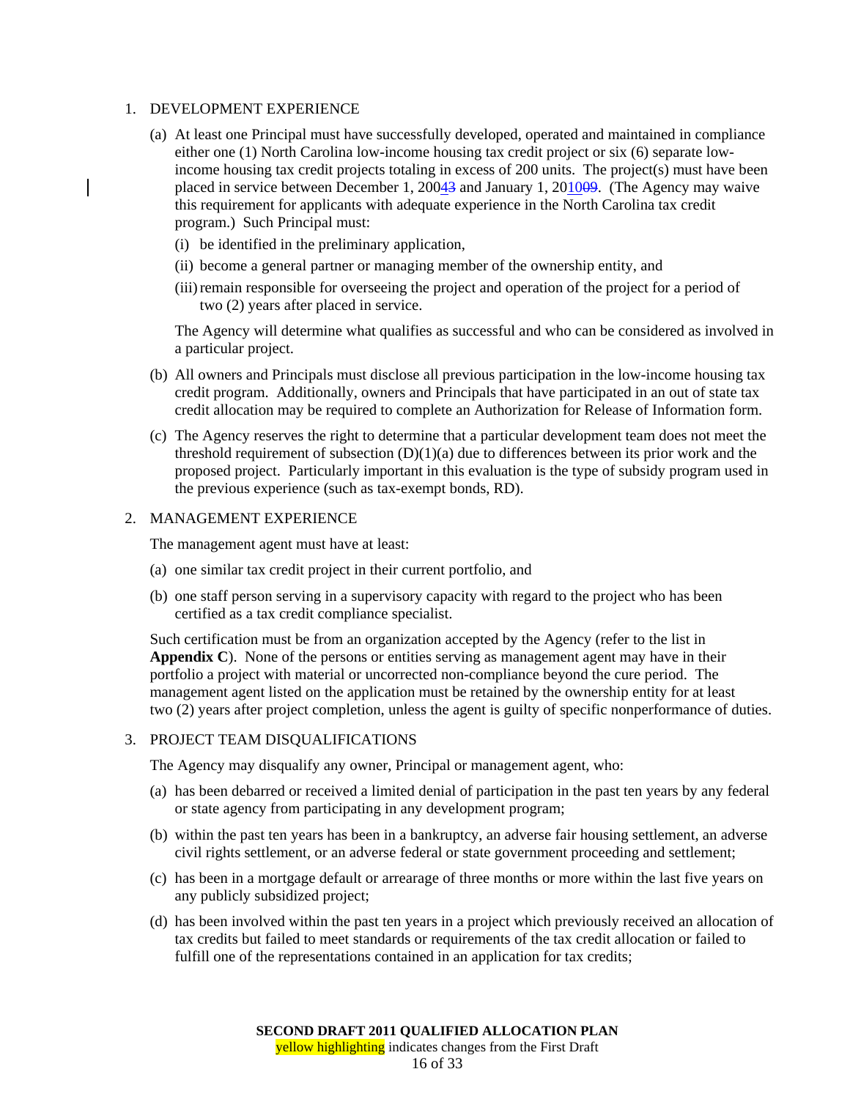#### 1. DEVELOPMENT EXPERIENCE

- (a) At least one Principal must have successfully developed, operated and maintained in compliance either one (1) North Carolina low-income housing tax credit project or six (6) separate lowincome housing tax credit projects totaling in excess of 200 units. The project(s) must have been placed in service between December 1, 20043 and January 1, 201009. (The Agency may waive this requirement for applicants with adequate experience in the North Carolina tax credit program.) Such Principal must:
	- (i) be identified in the preliminary application,
	- (ii) become a general partner or managing member of the ownership entity, and
	- (iii) remain responsible for overseeing the project and operation of the project for a period of two (2) years after placed in service.

The Agency will determine what qualifies as successful and who can be considered as involved in a particular project.

- (b) All owners and Principals must disclose all previous participation in the low-income housing tax credit program. Additionally, owners and Principals that have participated in an out of state tax credit allocation may be required to complete an Authorization for Release of Information form.
- (c) The Agency reserves the right to determine that a particular development team does not meet the threshold requirement of subsection  $(D)(1)(a)$  due to differences between its prior work and the proposed project. Particularly important in this evaluation is the type of subsidy program used in the previous experience (such as tax-exempt bonds, RD).

#### 2. MANAGEMENT EXPERIENCE

The management agent must have at least:

- (a) one similar tax credit project in their current portfolio, and
- (b) one staff person serving in a supervisory capacity with regard to the project who has been certified as a tax credit compliance specialist.

Such certification must be from an organization accepted by the Agency (refer to the list in **Appendix C**). None of the persons or entities serving as management agent may have in their portfolio a project with material or uncorrected non-compliance beyond the cure period. The management agent listed on the application must be retained by the ownership entity for at least two (2) years after project completion, unless the agent is guilty of specific nonperformance of duties.

#### 3. PROJECT TEAM DISQUALIFICATIONS

The Agency may disqualify any owner, Principal or management agent, who:

- (a) has been debarred or received a limited denial of participation in the past ten years by any federal or state agency from participating in any development program;
- (b) within the past ten years has been in a bankruptcy, an adverse fair housing settlement, an adverse civil rights settlement, or an adverse federal or state government proceeding and settlement;
- (c) has been in a mortgage default or arrearage of three months or more within the last five years on any publicly subsidized project;
- (d) has been involved within the past ten years in a project which previously received an allocation of tax credits but failed to meet standards or requirements of the tax credit allocation or failed to fulfill one of the representations contained in an application for tax credits;

yellow highlighting indicates changes from the First Draft

16 of 33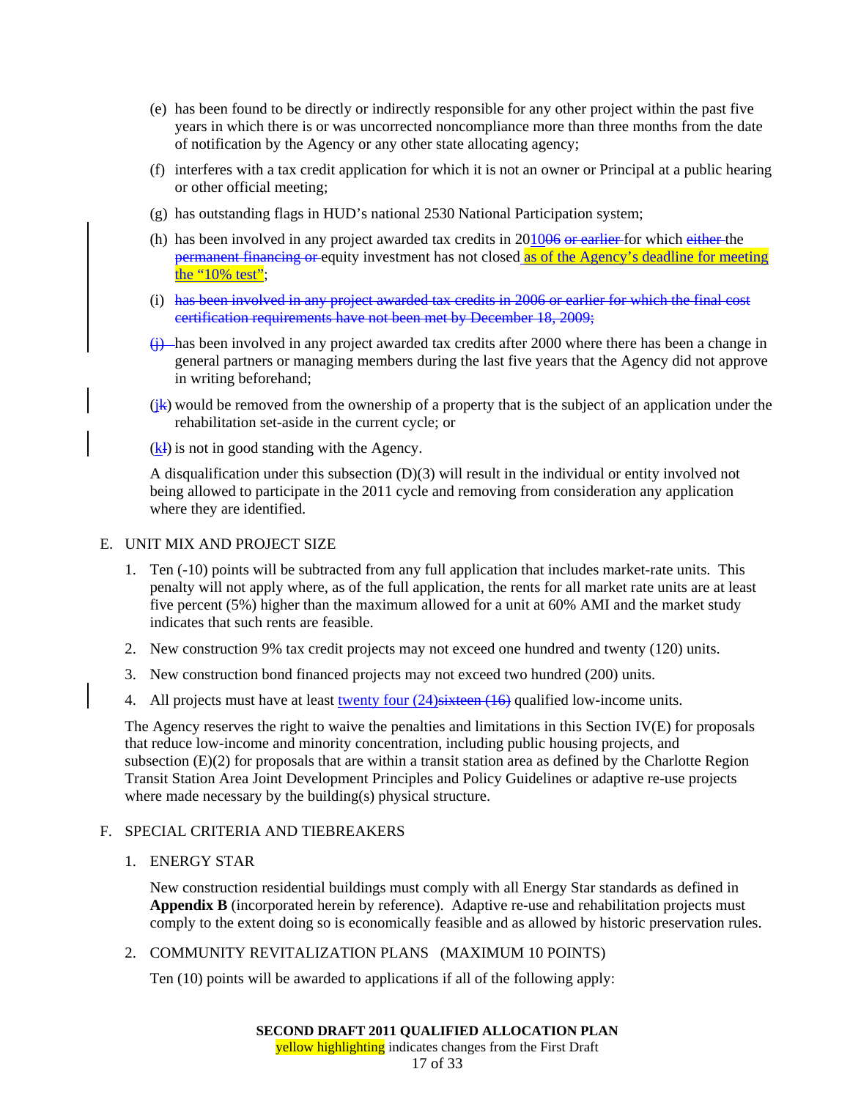- (e) has been found to be directly or indirectly responsible for any other project within the past five years in which there is or was uncorrected noncompliance more than three months from the date of notification by the Agency or any other state allocating agency;
- (f) interferes with a tax credit application for which it is not an owner or Principal at a public hearing or other official meeting;
- (g) has outstanding flags in HUD's national 2530 National Participation system;
- (h) has been involved in any project awarded tax credits in  $201006$  or earlier for which either the permanent financing or equity investment has not closed as of the Agency's deadline for meeting the "10% test";
- (i) has been involved in any project awarded tax credits in 2006 or earlier for which the final cost certification requirements have not been met by December 18, 2009;
- (j) has been involved in any project awarded tax credits after 2000 where there has been a change in general partners or managing members during the last five years that the Agency did not approve in writing beforehand;
- $(j<sub>k</sub>)$  would be removed from the ownership of a property that is the subject of an application under the rehabilitation set-aside in the current cycle; or
- $(k)$  is not in good standing with the Agency.

A disqualification under this subsection (D)(3) will result in the individual or entity involved not being allowed to participate in the 2011 cycle and removing from consideration any application where they are identified.

## E. UNIT MIX AND PROJECT SIZE

- 1. Ten (-10) points will be subtracted from any full application that includes market-rate units. This penalty will not apply where, as of the full application, the rents for all market rate units are at least five percent (5%) higher than the maximum allowed for a unit at 60% AMI and the market study indicates that such rents are feasible.
- 2. New construction 9% tax credit projects may not exceed one hundred and twenty (120) units.
- 3. New construction bond financed projects may not exceed two hundred (200) units.
- 4. All projects must have at least <u>twenty four  $(24)$ sixteen</u>  $(16)$  qualified low-income units.

The Agency reserves the right to waive the penalties and limitations in this Section IV(E) for proposals that reduce low-income and minority concentration, including public housing projects, and subsection (E)(2) for proposals that are within a transit station area as defined by the Charlotte Region Transit Station Area Joint Development Principles and Policy Guidelines or adaptive re-use projects where made necessary by the building(s) physical structure.

## F. SPECIAL CRITERIA AND TIEBREAKERS

1. ENERGY STAR

New construction residential buildings must comply with all Energy Star standards as defined in **Appendix B** (incorporated herein by reference). Adaptive re-use and rehabilitation projects must comply to the extent doing so is economically feasible and as allowed by historic preservation rules.

## 2. COMMUNITY REVITALIZATION PLANS (MAXIMUM 10 POINTS)

Ten (10) points will be awarded to applications if all of the following apply: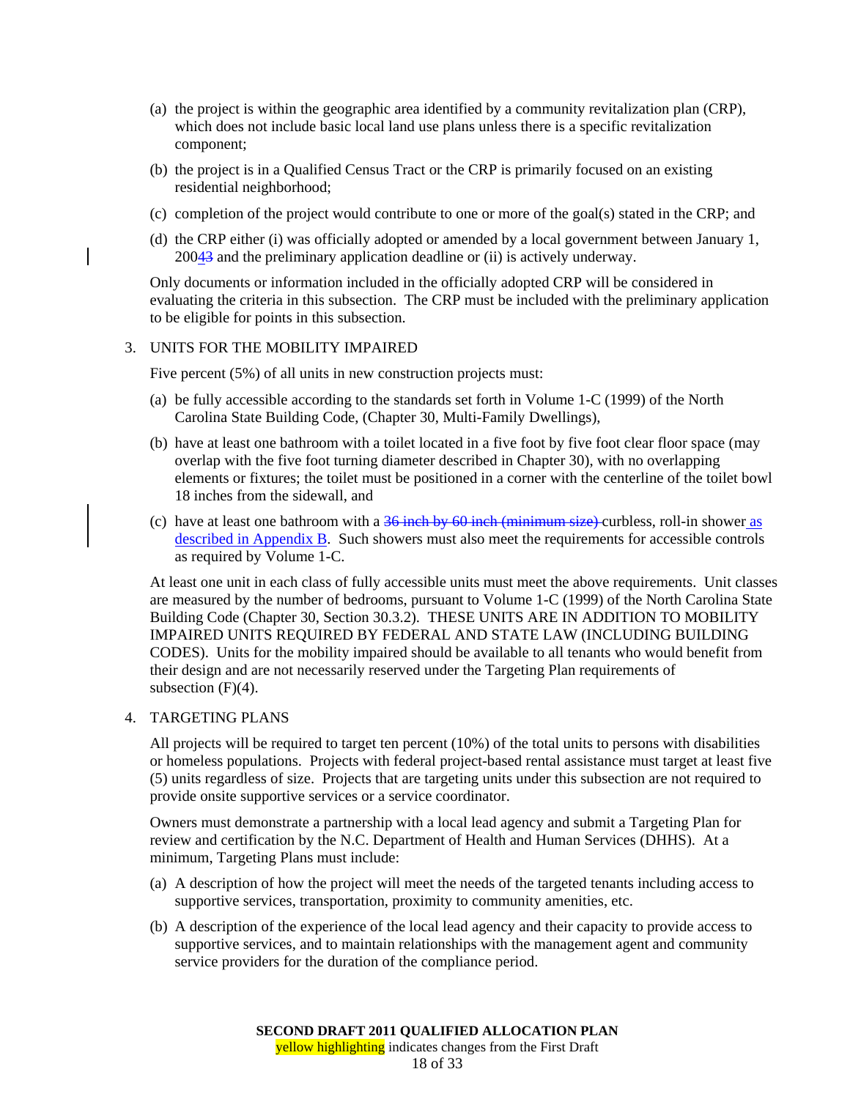- (a) the project is within the geographic area identified by a community revitalization plan (CRP), which does not include basic local land use plans unless there is a specific revitalization component;
- (b) the project is in a Qualified Census Tract or the CRP is primarily focused on an existing residential neighborhood;
- (c) completion of the project would contribute to one or more of the goal(s) stated in the CRP; and
- (d) the CRP either (i) was officially adopted or amended by a local government between January 1,  $200\frac{43}{3}$  and the preliminary application deadline or (ii) is actively underway.

Only documents or information included in the officially adopted CRP will be considered in evaluating the criteria in this subsection. The CRP must be included with the preliminary application to be eligible for points in this subsection.

## 3. UNITS FOR THE MOBILITY IMPAIRED

Five percent (5%) of all units in new construction projects must:

- (a) be fully accessible according to the standards set forth in Volume 1-C (1999) of the North Carolina State Building Code, (Chapter 30, Multi-Family Dwellings),
- (b) have at least one bathroom with a toilet located in a five foot by five foot clear floor space (may overlap with the five foot turning diameter described in Chapter 30), with no overlapping elements or fixtures; the toilet must be positioned in a corner with the centerline of the toilet bowl 18 inches from the sidewall, and
- (c) have at least one bathroom with a  $36$  inch by  $60$  inch (minimum size) curbless, roll-in shower as described in Appendix B. Such showers must also meet the requirements for accessible controls as required by Volume 1-C.

At least one unit in each class of fully accessible units must meet the above requirements. Unit classes are measured by the number of bedrooms, pursuant to Volume 1-C (1999) of the North Carolina State Building Code (Chapter 30, Section 30.3.2). THESE UNITS ARE IN ADDITION TO MOBILITY IMPAIRED UNITS REQUIRED BY FEDERAL AND STATE LAW (INCLUDING BUILDING CODES). Units for the mobility impaired should be available to all tenants who would benefit from their design and are not necessarily reserved under the Targeting Plan requirements of subsection  $(F)(4)$ .

## 4. TARGETING PLANS

All projects will be required to target ten percent (10%) of the total units to persons with disabilities or homeless populations. Projects with federal project-based rental assistance must target at least five (5) units regardless of size. Projects that are targeting units under this subsection are not required to provide onsite supportive services or a service coordinator.

Owners must demonstrate a partnership with a local lead agency and submit a Targeting Plan for review and certification by the N.C. Department of Health and Human Services (DHHS). At a minimum, Targeting Plans must include:

- (a) A description of how the project will meet the needs of the targeted tenants including access to supportive services, transportation, proximity to community amenities, etc.
- (b) A description of the experience of the local lead agency and their capacity to provide access to supportive services, and to maintain relationships with the management agent and community service providers for the duration of the compliance period.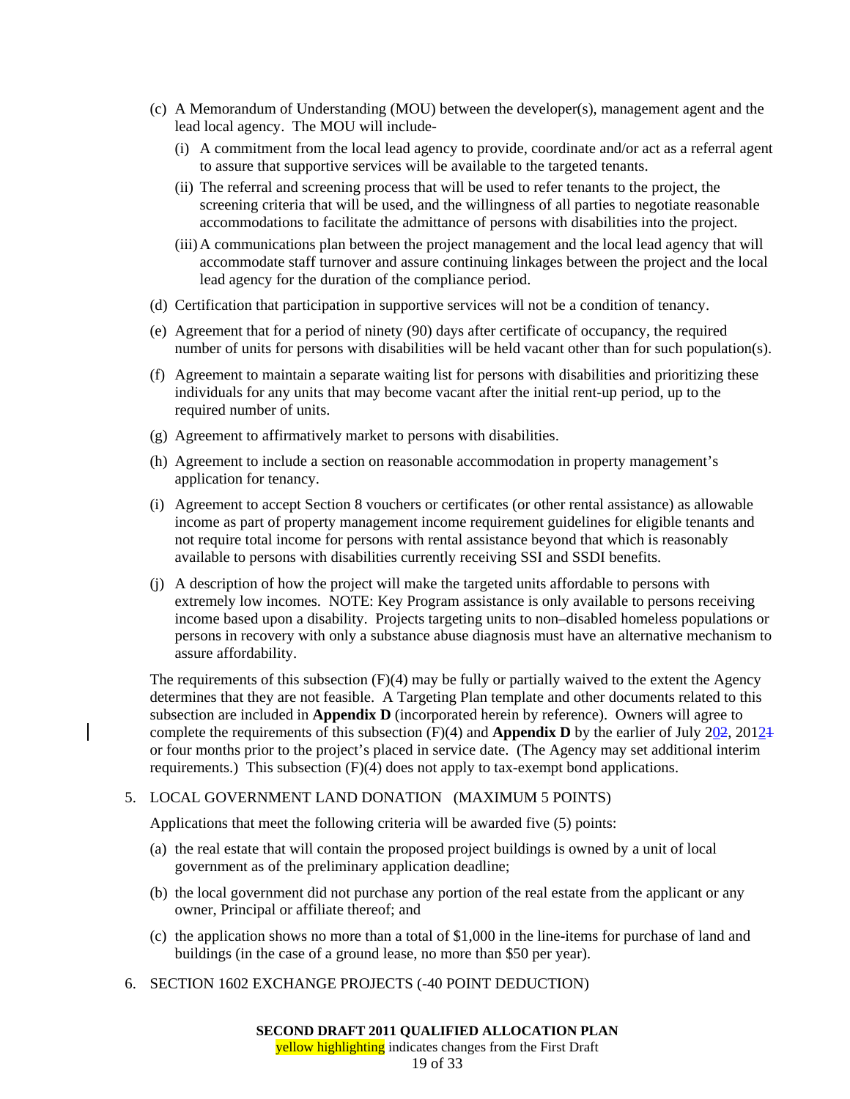- (c) A Memorandum of Understanding (MOU) between the developer(s), management agent and the lead local agency. The MOU will include-
	- (i) A commitment from the local lead agency to provide, coordinate and/or act as a referral agent to assure that supportive services will be available to the targeted tenants.
	- (ii) The referral and screening process that will be used to refer tenants to the project, the screening criteria that will be used, and the willingness of all parties to negotiate reasonable accommodations to facilitate the admittance of persons with disabilities into the project.
	- (iii) A communications plan between the project management and the local lead agency that will accommodate staff turnover and assure continuing linkages between the project and the local lead agency for the duration of the compliance period.
- (d) Certification that participation in supportive services will not be a condition of tenancy.
- (e) Agreement that for a period of ninety (90) days after certificate of occupancy, the required number of units for persons with disabilities will be held vacant other than for such population(s).
- (f) Agreement to maintain a separate waiting list for persons with disabilities and prioritizing these individuals for any units that may become vacant after the initial rent-up period, up to the required number of units.
- (g) Agreement to affirmatively market to persons with disabilities.
- (h) Agreement to include a section on reasonable accommodation in property management's application for tenancy.
- (i) Agreement to accept Section 8 vouchers or certificates (or other rental assistance) as allowable income as part of property management income requirement guidelines for eligible tenants and not require total income for persons with rental assistance beyond that which is reasonably available to persons with disabilities currently receiving SSI and SSDI benefits.
- (j) A description of how the project will make the targeted units affordable to persons with extremely low incomes. NOTE: Key Program assistance is only available to persons receiving income based upon a disability. Projects targeting units to non–disabled homeless populations or persons in recovery with only a substance abuse diagnosis must have an alternative mechanism to assure affordability.

The requirements of this subsection  $(F)(4)$  may be fully or partially waived to the extent the Agency determines that they are not feasible. A Targeting Plan template and other documents related to this subsection are included in **Appendix D** (incorporated herein by reference). Owners will agree to complete the requirements of this subsection (F)(4) and **Appendix D** by the earlier of July 202, 2012<sup>1</sup> or four months prior to the project's placed in service date. (The Agency may set additional interim requirements.) This subsection (F)(4) does not apply to tax-exempt bond applications.

## 5. LOCAL GOVERNMENT LAND DONATION (MAXIMUM 5 POINTS)

Applications that meet the following criteria will be awarded five (5) points:

- (a) the real estate that will contain the proposed project buildings is owned by a unit of local government as of the preliminary application deadline;
- (b) the local government did not purchase any portion of the real estate from the applicant or any owner, Principal or affiliate thereof; and
- (c) the application shows no more than a total of \$1,000 in the line-items for purchase of land and buildings (in the case of a ground lease, no more than \$50 per year).
- 6. SECTION 1602 EXCHANGE PROJECTS (-40 POINT DEDUCTION)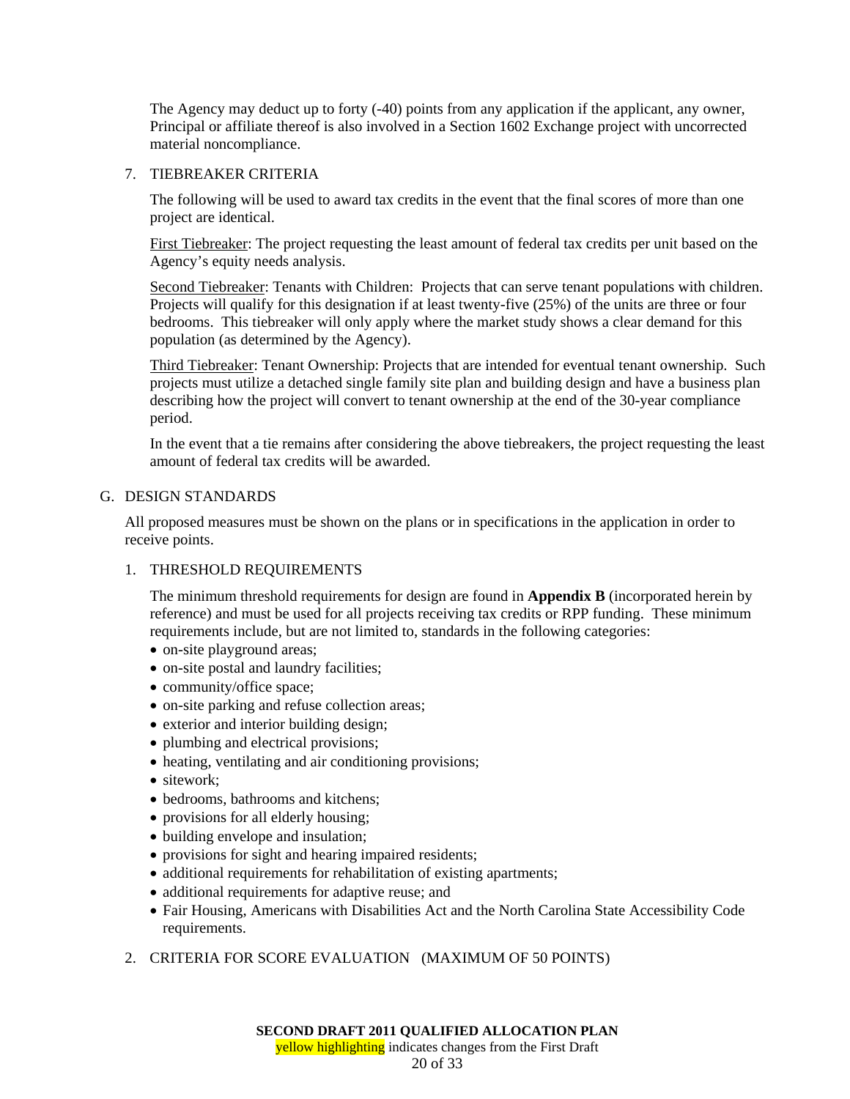The Agency may deduct up to forty (-40) points from any application if the applicant, any owner, Principal or affiliate thereof is also involved in a Section 1602 Exchange project with uncorrected material noncompliance.

## 7. TIEBREAKER CRITERIA

The following will be used to award tax credits in the event that the final scores of more than one project are identical.

First Tiebreaker: The project requesting the least amount of federal tax credits per unit based on the Agency's equity needs analysis.

Second Tiebreaker: Tenants with Children: Projects that can serve tenant populations with children. Projects will qualify for this designation if at least twenty-five (25%) of the units are three or four bedrooms. This tiebreaker will only apply where the market study shows a clear demand for this population (as determined by the Agency).

Third Tiebreaker: Tenant Ownership: Projects that are intended for eventual tenant ownership. Such projects must utilize a detached single family site plan and building design and have a business plan describing how the project will convert to tenant ownership at the end of the 30-year compliance period.

In the event that a tie remains after considering the above tiebreakers, the project requesting the least amount of federal tax credits will be awarded.

## G. DESIGN STANDARDS

All proposed measures must be shown on the plans or in specifications in the application in order to receive points.

#### 1. THRESHOLD REQUIREMENTS

The minimum threshold requirements for design are found in **Appendix B** (incorporated herein by reference) and must be used for all projects receiving tax credits or RPP funding. These minimum requirements include, but are not limited to, standards in the following categories:

- on-site playground areas;
- on-site postal and laundry facilities;
- community/office space;
- on-site parking and refuse collection areas;
- exterior and interior building design;
- plumbing and electrical provisions;
- heating, ventilating and air conditioning provisions;
- sitework:
- bedrooms, bathrooms and kitchens;
- provisions for all elderly housing;
- building envelope and insulation;
- provisions for sight and hearing impaired residents;
- additional requirements for rehabilitation of existing apartments;
- additional requirements for adaptive reuse; and
- Fair Housing, Americans with Disabilities Act and the North Carolina State Accessibility Code requirements.
- 2. CRITERIA FOR SCORE EVALUATION (MAXIMUM OF 50 POINTS)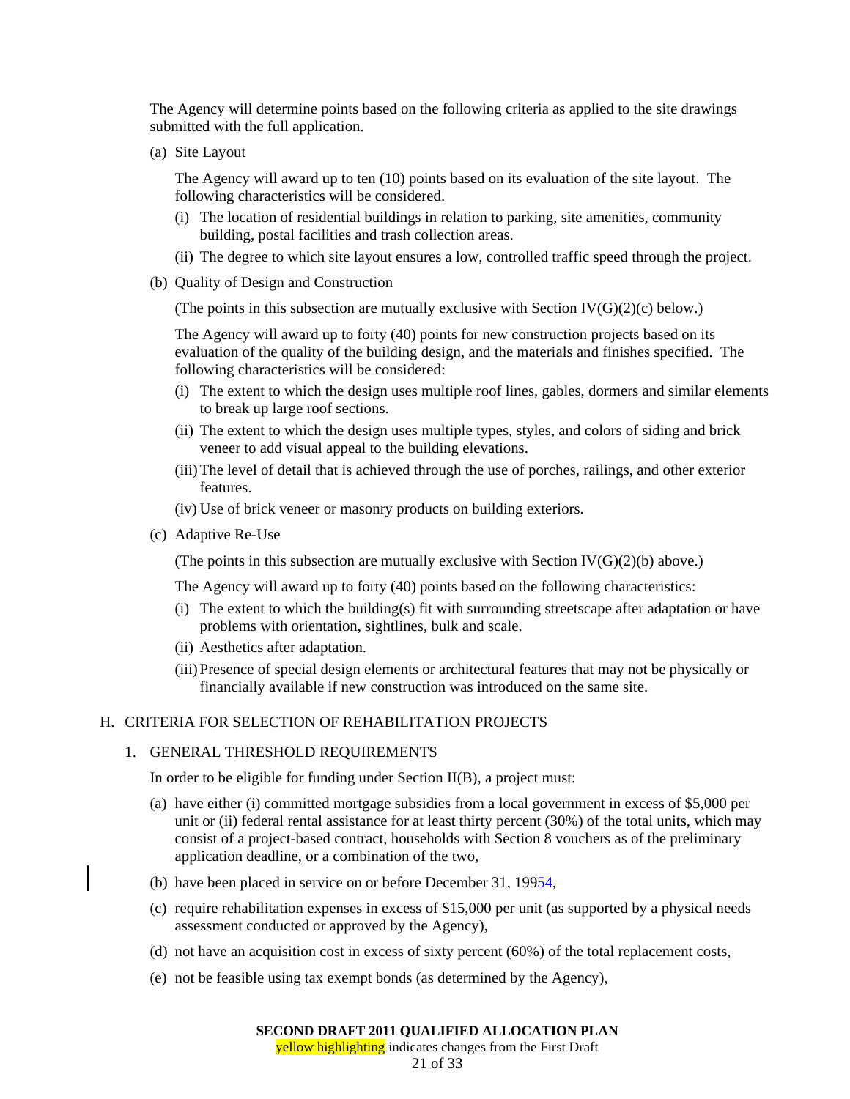The Agency will determine points based on the following criteria as applied to the site drawings submitted with the full application.

(a) Site Layout

The Agency will award up to ten (10) points based on its evaluation of the site layout. The following characteristics will be considered.

- (i) The location of residential buildings in relation to parking, site amenities, community building, postal facilities and trash collection areas.
- (ii) The degree to which site layout ensures a low, controlled traffic speed through the project.
- (b) Quality of Design and Construction

(The points in this subsection are mutually exclusive with Section IV( $G(2)(c)$  below.)

The Agency will award up to forty (40) points for new construction projects based on its evaluation of the quality of the building design, and the materials and finishes specified. The following characteristics will be considered:

- (i) The extent to which the design uses multiple roof lines, gables, dormers and similar elements to break up large roof sections.
- (ii) The extent to which the design uses multiple types, styles, and colors of siding and brick veneer to add visual appeal to the building elevations.
- (iii) The level of detail that is achieved through the use of porches, railings, and other exterior features.
- (iv) Use of brick veneer or masonry products on building exteriors.
- (c) Adaptive Re-Use

(The points in this subsection are mutually exclusive with Section IV( $G$ )(2)(b) above.)

The Agency will award up to forty (40) points based on the following characteristics:

- (i) The extent to which the building(s) fit with surrounding streetscape after adaptation or have problems with orientation, sightlines, bulk and scale.
- (ii) Aesthetics after adaptation.
- (iii) Presence of special design elements or architectural features that may not be physically or financially available if new construction was introduced on the same site.

## H. CRITERIA FOR SELECTION OF REHABILITATION PROJECTS

#### 1. GENERAL THRESHOLD REQUIREMENTS

In order to be eligible for funding under Section II(B), a project must:

- (a) have either (i) committed mortgage subsidies from a local government in excess of \$5,000 per unit or (ii) federal rental assistance for at least thirty percent (30%) of the total units, which may consist of a project-based contract, households with Section 8 vouchers as of the preliminary application deadline, or a combination of the two,
- (b) have been placed in service on or before December 31, 19954,
- (c) require rehabilitation expenses in excess of \$15,000 per unit (as supported by a physical needs assessment conducted or approved by the Agency),
- (d) not have an acquisition cost in excess of sixty percent (60%) of the total replacement costs,
- (e) not be feasible using tax exempt bonds (as determined by the Agency),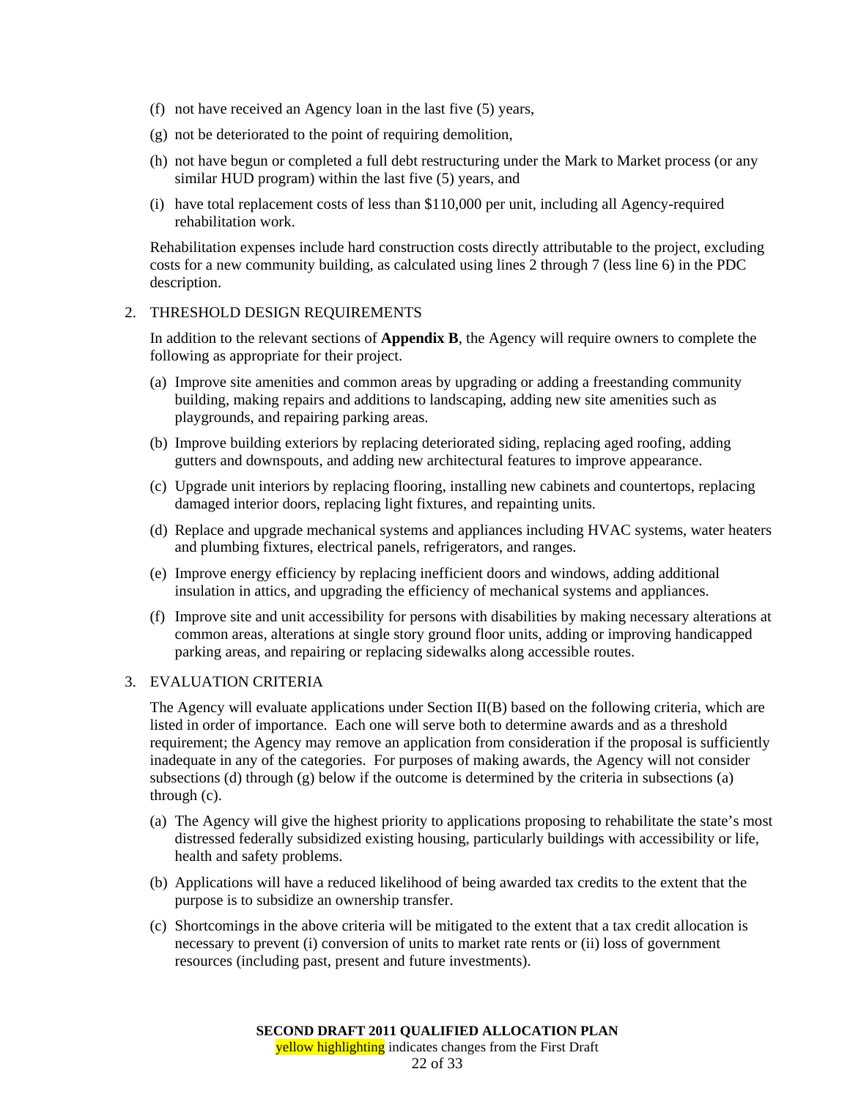- (f) not have received an Agency loan in the last five (5) years,
- (g) not be deteriorated to the point of requiring demolition,
- (h) not have begun or completed a full debt restructuring under the Mark to Market process (or any similar HUD program) within the last five (5) years, and
- (i) have total replacement costs of less than \$110,000 per unit, including all Agency-required rehabilitation work.

Rehabilitation expenses include hard construction costs directly attributable to the project, excluding costs for a new community building, as calculated using lines 2 through 7 (less line 6) in the PDC description.

#### 2. THRESHOLD DESIGN REQUIREMENTS

In addition to the relevant sections of **Appendix B**, the Agency will require owners to complete the following as appropriate for their project.

- (a) Improve site amenities and common areas by upgrading or adding a freestanding community building, making repairs and additions to landscaping, adding new site amenities such as playgrounds, and repairing parking areas.
- (b) Improve building exteriors by replacing deteriorated siding, replacing aged roofing, adding gutters and downspouts, and adding new architectural features to improve appearance.
- (c) Upgrade unit interiors by replacing flooring, installing new cabinets and countertops, replacing damaged interior doors, replacing light fixtures, and repainting units.
- (d) Replace and upgrade mechanical systems and appliances including HVAC systems, water heaters and plumbing fixtures, electrical panels, refrigerators, and ranges.
- (e) Improve energy efficiency by replacing inefficient doors and windows, adding additional insulation in attics, and upgrading the efficiency of mechanical systems and appliances.
- (f) Improve site and unit accessibility for persons with disabilities by making necessary alterations at common areas, alterations at single story ground floor units, adding or improving handicapped parking areas, and repairing or replacing sidewalks along accessible routes.

#### 3. EVALUATION CRITERIA

The Agency will evaluate applications under Section II(B) based on the following criteria, which are listed in order of importance. Each one will serve both to determine awards and as a threshold requirement; the Agency may remove an application from consideration if the proposal is sufficiently inadequate in any of the categories. For purposes of making awards, the Agency will not consider subsections (d) through (g) below if the outcome is determined by the criteria in subsections (a) through (c).

- (a) The Agency will give the highest priority to applications proposing to rehabilitate the state's most distressed federally subsidized existing housing, particularly buildings with accessibility or life, health and safety problems.
- (b) Applications will have a reduced likelihood of being awarded tax credits to the extent that the purpose is to subsidize an ownership transfer.
- (c) Shortcomings in the above criteria will be mitigated to the extent that a tax credit allocation is necessary to prevent (i) conversion of units to market rate rents or (ii) loss of government resources (including past, present and future investments).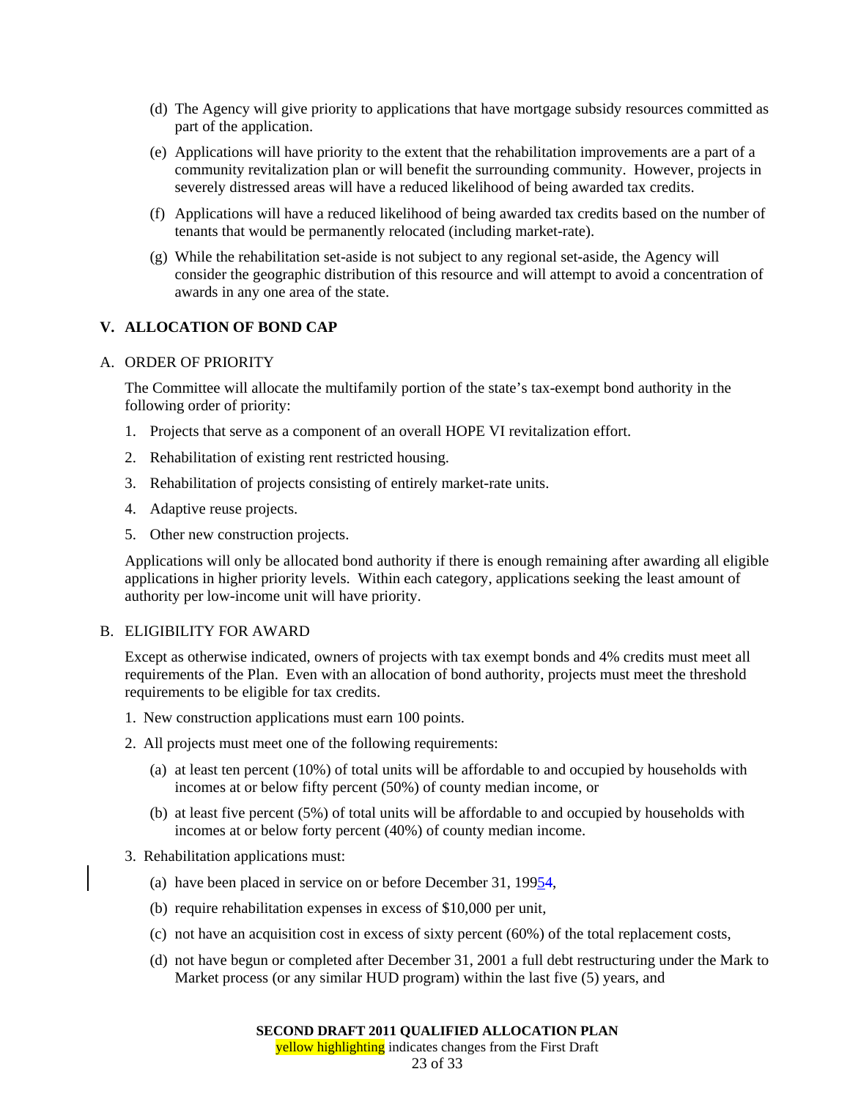- (d) The Agency will give priority to applications that have mortgage subsidy resources committed as part of the application.
- (e) Applications will have priority to the extent that the rehabilitation improvements are a part of a community revitalization plan or will benefit the surrounding community. However, projects in severely distressed areas will have a reduced likelihood of being awarded tax credits.
- (f) Applications will have a reduced likelihood of being awarded tax credits based on the number of tenants that would be permanently relocated (including market-rate).
- (g) While the rehabilitation set-aside is not subject to any regional set-aside, the Agency will consider the geographic distribution of this resource and will attempt to avoid a concentration of awards in any one area of the state.

## **V. ALLOCATION OF BOND CAP**

#### A. ORDER OF PRIORITY

The Committee will allocate the multifamily portion of the state's tax-exempt bond authority in the following order of priority:

- 1. Projects that serve as a component of an overall HOPE VI revitalization effort.
- 2. Rehabilitation of existing rent restricted housing.
- 3. Rehabilitation of projects consisting of entirely market-rate units.
- 4. Adaptive reuse projects.
- 5. Other new construction projects.

Applications will only be allocated bond authority if there is enough remaining after awarding all eligible applications in higher priority levels. Within each category, applications seeking the least amount of authority per low-income unit will have priority.

#### B. ELIGIBILITY FOR AWARD

Except as otherwise indicated, owners of projects with tax exempt bonds and 4% credits must meet all requirements of the Plan. Even with an allocation of bond authority, projects must meet the threshold requirements to be eligible for tax credits.

- 1. New construction applications must earn 100 points.
- 2. All projects must meet one of the following requirements:
	- (a) at least ten percent (10%) of total units will be affordable to and occupied by households with incomes at or below fifty percent (50%) of county median income, or
	- (b) at least five percent (5%) of total units will be affordable to and occupied by households with incomes at or below forty percent (40%) of county median income.
- 3. Rehabilitation applications must:
	- (a) have been placed in service on or before December 31, 19954,
	- (b) require rehabilitation expenses in excess of \$10,000 per unit,
	- (c) not have an acquisition cost in excess of sixty percent (60%) of the total replacement costs,
	- (d) not have begun or completed after December 31, 2001 a full debt restructuring under the Mark to Market process (or any similar HUD program) within the last five (5) years, and

23 of 33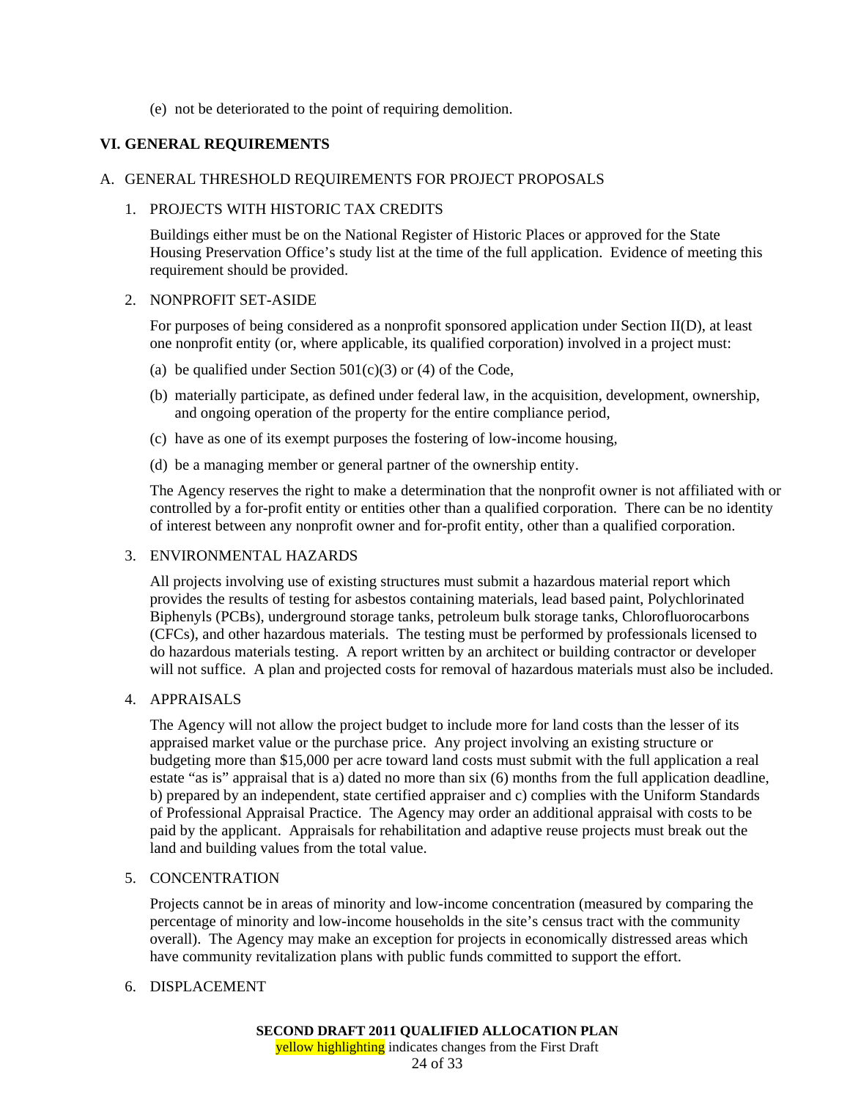## (e) not be deteriorated to the point of requiring demolition.

## **VI. GENERAL REQUIREMENTS**

#### A. GENERAL THRESHOLD REQUIREMENTS FOR PROJECT PROPOSALS

## 1. PROJECTS WITH HISTORIC TAX CREDITS

Buildings either must be on the National Register of Historic Places or approved for the State Housing Preservation Office's study list at the time of the full application. Evidence of meeting this requirement should be provided.

#### 2. NONPROFIT SET-ASIDE

For purposes of being considered as a nonprofit sponsored application under Section II(D), at least one nonprofit entity (or, where applicable, its qualified corporation) involved in a project must:

- (a) be qualified under Section  $501(c)(3)$  or (4) of the Code,
- (b) materially participate, as defined under federal law, in the acquisition, development, ownership, and ongoing operation of the property for the entire compliance period,
- (c) have as one of its exempt purposes the fostering of low-income housing,
- (d) be a managing member or general partner of the ownership entity.

The Agency reserves the right to make a determination that the nonprofit owner is not affiliated with or controlled by a for-profit entity or entities other than a qualified corporation. There can be no identity of interest between any nonprofit owner and for-profit entity, other than a qualified corporation.

#### 3. ENVIRONMENTAL HAZARDS

All projects involving use of existing structures must submit a hazardous material report which provides the results of testing for asbestos containing materials, lead based paint, Polychlorinated Biphenyls (PCBs), underground storage tanks, petroleum bulk storage tanks, Chlorofluorocarbons (CFCs), and other hazardous materials. The testing must be performed by professionals licensed to do hazardous materials testing. A report written by an architect or building contractor or developer will not suffice. A plan and projected costs for removal of hazardous materials must also be included.

#### 4. APPRAISALS

The Agency will not allow the project budget to include more for land costs than the lesser of its appraised market value or the purchase price. Any project involving an existing structure or budgeting more than \$15,000 per acre toward land costs must submit with the full application a real estate "as is" appraisal that is a) dated no more than six (6) months from the full application deadline, b) prepared by an independent, state certified appraiser and c) complies with the Uniform Standards of Professional Appraisal Practice. The Agency may order an additional appraisal with costs to be paid by the applicant. Appraisals for rehabilitation and adaptive reuse projects must break out the land and building values from the total value.

## 5. CONCENTRATION

Projects cannot be in areas of minority and low-income concentration (measured by comparing the percentage of minority and low-income households in the site's census tract with the community overall). The Agency may make an exception for projects in economically distressed areas which have community revitalization plans with public funds committed to support the effort.

## 6. DISPLACEMENT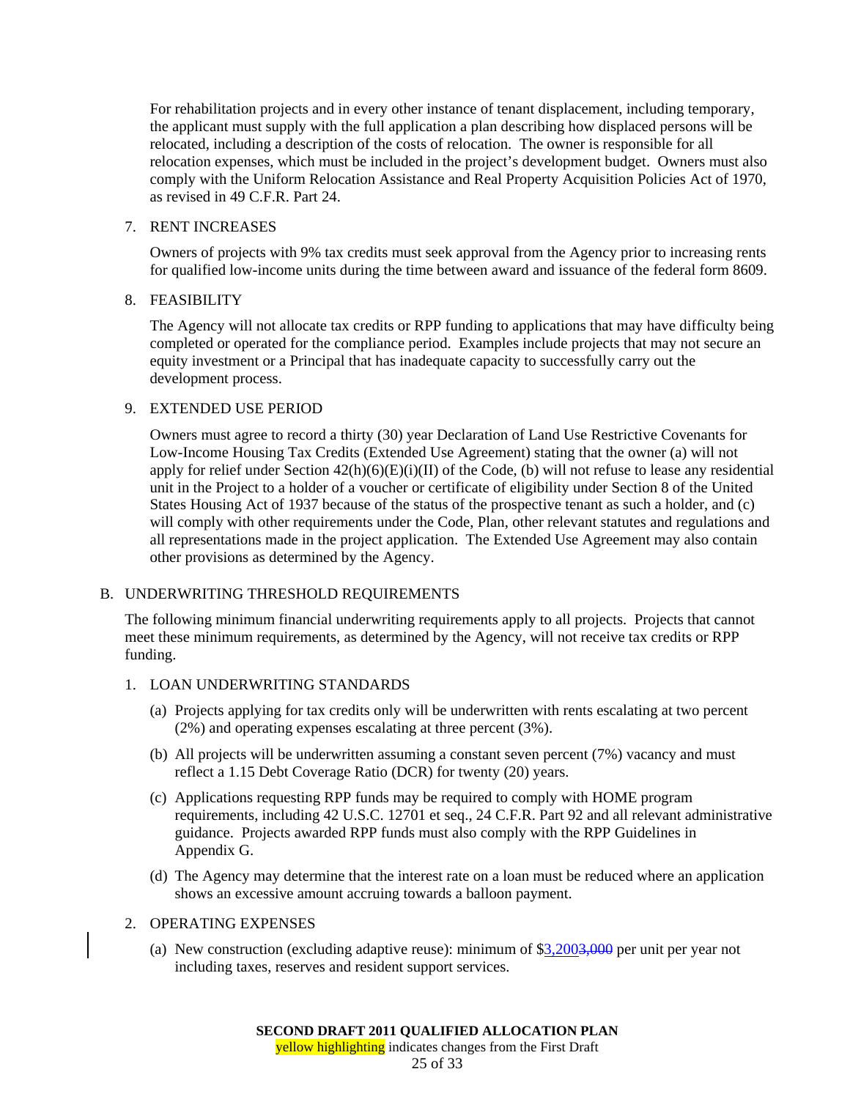For rehabilitation projects and in every other instance of tenant displacement, including temporary, the applicant must supply with the full application a plan describing how displaced persons will be relocated, including a description of the costs of relocation. The owner is responsible for all relocation expenses, which must be included in the project's development budget. Owners must also comply with the Uniform Relocation Assistance and Real Property Acquisition Policies Act of 1970, as revised in 49 C.F.R. Part 24.

## 7. RENT INCREASES

Owners of projects with 9% tax credits must seek approval from the Agency prior to increasing rents for qualified low-income units during the time between award and issuance of the federal form 8609.

## 8. FEASIBILITY

The Agency will not allocate tax credits or RPP funding to applications that may have difficulty being completed or operated for the compliance period. Examples include projects that may not secure an equity investment or a Principal that has inadequate capacity to successfully carry out the development process.

## 9. EXTENDED USE PERIOD

Owners must agree to record a thirty (30) year Declaration of Land Use Restrictive Covenants for Low-Income Housing Tax Credits (Extended Use Agreement) stating that the owner (a) will not apply for relief under Section  $42(h)(6)(E)(i)(II)$  of the Code, (b) will not refuse to lease any residential unit in the Project to a holder of a voucher or certificate of eligibility under Section 8 of the United States Housing Act of 1937 because of the status of the prospective tenant as such a holder, and (c) will comply with other requirements under the Code, Plan, other relevant statutes and regulations and all representations made in the project application. The Extended Use Agreement may also contain other provisions as determined by the Agency.

## B. UNDERWRITING THRESHOLD REQUIREMENTS

The following minimum financial underwriting requirements apply to all projects. Projects that cannot meet these minimum requirements, as determined by the Agency, will not receive tax credits or RPP funding.

## 1. LOAN UNDERWRITING STANDARDS

- (a) Projects applying for tax credits only will be underwritten with rents escalating at two percent (2%) and operating expenses escalating at three percent (3%).
- (b) All projects will be underwritten assuming a constant seven percent (7%) vacancy and must reflect a 1.15 Debt Coverage Ratio (DCR) for twenty (20) years.
- (c) Applications requesting RPP funds may be required to comply with HOME program requirements, including 42 U.S.C. 12701 et seq., 24 C.F.R. Part 92 and all relevant administrative guidance. Projects awarded RPP funds must also comply with the RPP Guidelines in Appendix G.
- (d) The Agency may determine that the interest rate on a loan must be reduced where an application shows an excessive amount accruing towards a balloon payment.

## 2. OPERATING EXPENSES

(a) New construction (excluding adaptive reuse): minimum of  $\frac{2,2003,000}{3,2003,000}$  per unit per year not including taxes, reserves and resident support services.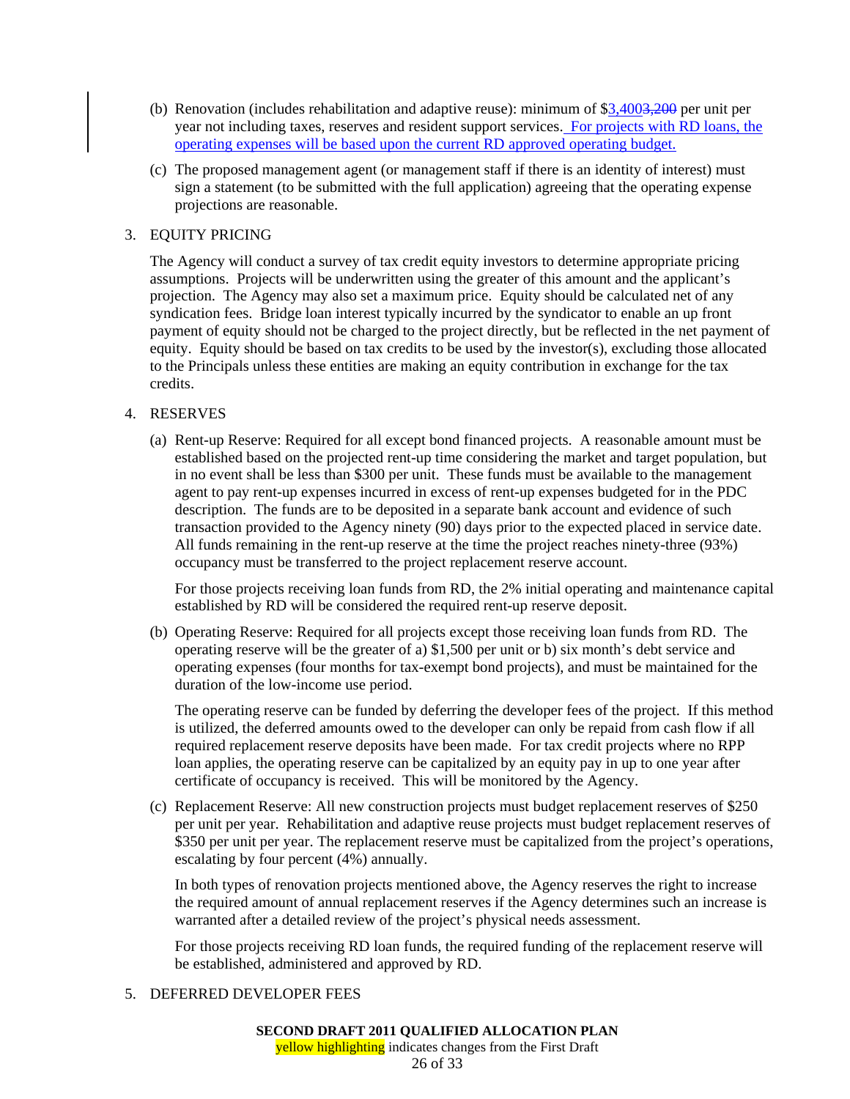- (b) Renovation (includes rehabilitation and adaptive reuse): minimum of \$3,4003,200 per unit per year not including taxes, reserves and resident support services. For projects with RD loans, the operating expenses will be based upon the current RD approved operating budget.
- (c) The proposed management agent (or management staff if there is an identity of interest) must sign a statement (to be submitted with the full application) agreeing that the operating expense projections are reasonable.

## 3. EQUITY PRICING

The Agency will conduct a survey of tax credit equity investors to determine appropriate pricing assumptions. Projects will be underwritten using the greater of this amount and the applicant's projection. The Agency may also set a maximum price. Equity should be calculated net of any syndication fees. Bridge loan interest typically incurred by the syndicator to enable an up front payment of equity should not be charged to the project directly, but be reflected in the net payment of equity. Equity should be based on tax credits to be used by the investor(s), excluding those allocated to the Principals unless these entities are making an equity contribution in exchange for the tax credits.

## 4. RESERVES

(a) Rent-up Reserve: Required for all except bond financed projects. A reasonable amount must be established based on the projected rent-up time considering the market and target population, but in no event shall be less than \$300 per unit. These funds must be available to the management agent to pay rent-up expenses incurred in excess of rent-up expenses budgeted for in the PDC description. The funds are to be deposited in a separate bank account and evidence of such transaction provided to the Agency ninety (90) days prior to the expected placed in service date. All funds remaining in the rent-up reserve at the time the project reaches ninety-three (93%) occupancy must be transferred to the project replacement reserve account.

For those projects receiving loan funds from RD, the 2% initial operating and maintenance capital established by RD will be considered the required rent-up reserve deposit.

(b) Operating Reserve: Required for all projects except those receiving loan funds from RD. The operating reserve will be the greater of a) \$1,500 per unit or b) six month's debt service and operating expenses (four months for tax-exempt bond projects), and must be maintained for the duration of the low-income use period.

The operating reserve can be funded by deferring the developer fees of the project. If this method is utilized, the deferred amounts owed to the developer can only be repaid from cash flow if all required replacement reserve deposits have been made. For tax credit projects where no RPP loan applies, the operating reserve can be capitalized by an equity pay in up to one year after certificate of occupancy is received. This will be monitored by the Agency.

(c) Replacement Reserve: All new construction projects must budget replacement reserves of \$250 per unit per year. Rehabilitation and adaptive reuse projects must budget replacement reserves of \$350 per unit per year. The replacement reserve must be capitalized from the project's operations, escalating by four percent (4%) annually.

In both types of renovation projects mentioned above, the Agency reserves the right to increase the required amount of annual replacement reserves if the Agency determines such an increase is warranted after a detailed review of the project's physical needs assessment.

For those projects receiving RD loan funds, the required funding of the replacement reserve will be established, administered and approved by RD.

## 5. DEFERRED DEVELOPER FEES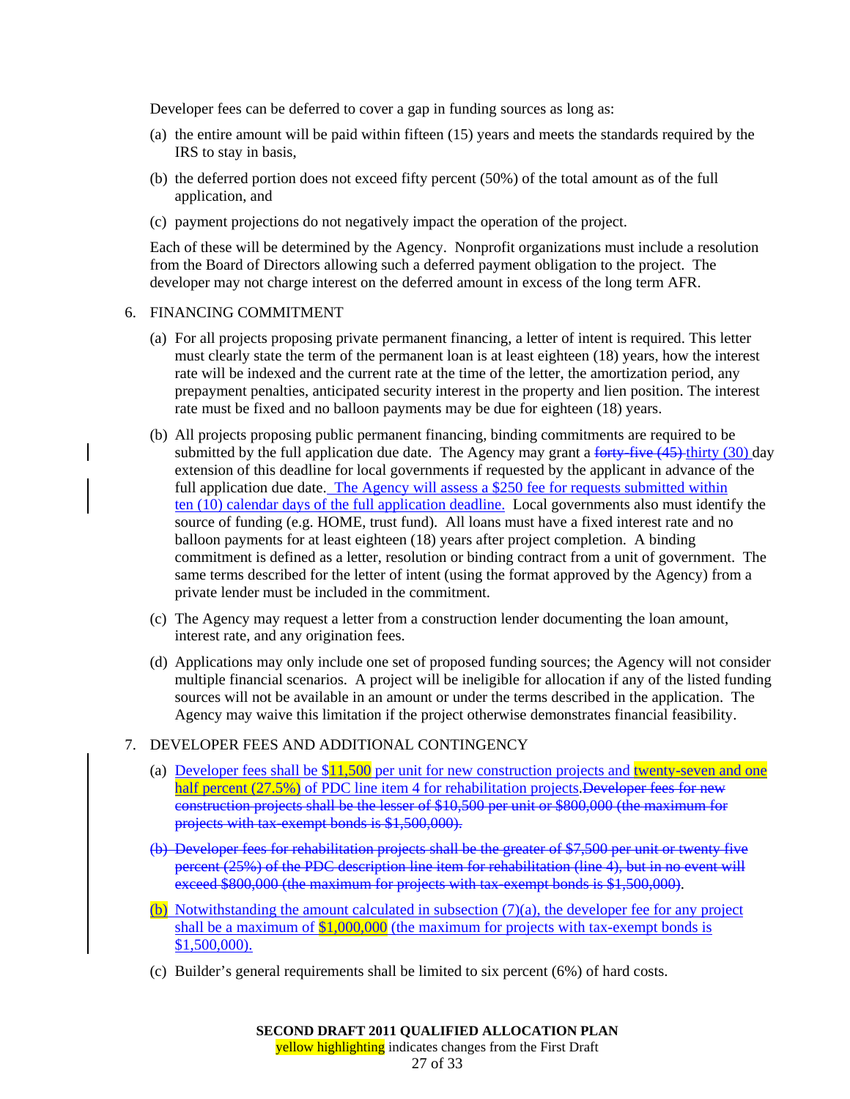Developer fees can be deferred to cover a gap in funding sources as long as:

- (a) the entire amount will be paid within fifteen (15) years and meets the standards required by the IRS to stay in basis,
- (b) the deferred portion does not exceed fifty percent (50%) of the total amount as of the full application, and
- (c) payment projections do not negatively impact the operation of the project.

Each of these will be determined by the Agency. Nonprofit organizations must include a resolution from the Board of Directors allowing such a deferred payment obligation to the project. The developer may not charge interest on the deferred amount in excess of the long term AFR.

#### 6. FINANCING COMMITMENT

- (a) For all projects proposing private permanent financing, a letter of intent is required. This letter must clearly state the term of the permanent loan is at least eighteen (18) years, how the interest rate will be indexed and the current rate at the time of the letter, the amortization period, any prepayment penalties, anticipated security interest in the property and lien position. The interest rate must be fixed and no balloon payments may be due for eighteen (18) years.
- (b) All projects proposing public permanent financing, binding commitments are required to be submitted by the full application due date. The Agency may grant a forty-five  $(45)$  thirty (30) day extension of this deadline for local governments if requested by the applicant in advance of the full application due date. The Agency will assess a  $\frac{$250}{}$  fee for requests submitted within ten (10) calendar days of the full application deadline. Local governments also must identify the source of funding (e.g. HOME, trust fund). All loans must have a fixed interest rate and no balloon payments for at least eighteen (18) years after project completion. A binding commitment is defined as a letter, resolution or binding contract from a unit of government. The same terms described for the letter of intent (using the format approved by the Agency) from a private lender must be included in the commitment.
- (c) The Agency may request a letter from a construction lender documenting the loan amount, interest rate, and any origination fees.
- (d) Applications may only include one set of proposed funding sources; the Agency will not consider multiple financial scenarios. A project will be ineligible for allocation if any of the listed funding sources will not be available in an amount or under the terms described in the application. The Agency may waive this limitation if the project otherwise demonstrates financial feasibility.

## 7. DEVELOPER FEES AND ADDITIONAL CONTINGENCY

- (a) Developer fees shall be  $$11,500$  per unit for new construction projects and twenty-seven and one half percent (27.5%) of PDC line item 4 for rehabilitation projects. Developer fees for new construction projects shall be the lesser of \$10,500 per unit or \$800,000 (the maximum for projects with tax-exempt bonds is \$1,500,000).
- (b) Developer fees for rehabilitation projects shall be the greater of \$7,500 per unit or twenty five percent (25%) of the PDC description line item for rehabilitation (line 4), but in no event will exceed \$800,000 (the maximum for projects with tax-exempt bonds is \$1,500,000).
- $(b)$  Notwithstanding the amount calculated in subsection  $(7)(a)$ , the developer fee for any project shall be a maximum of \$1,000,000 (the maximum for projects with tax-exempt bonds is \$1,500,000).
- (c) Builder's general requirements shall be limited to six percent (6%) of hard costs.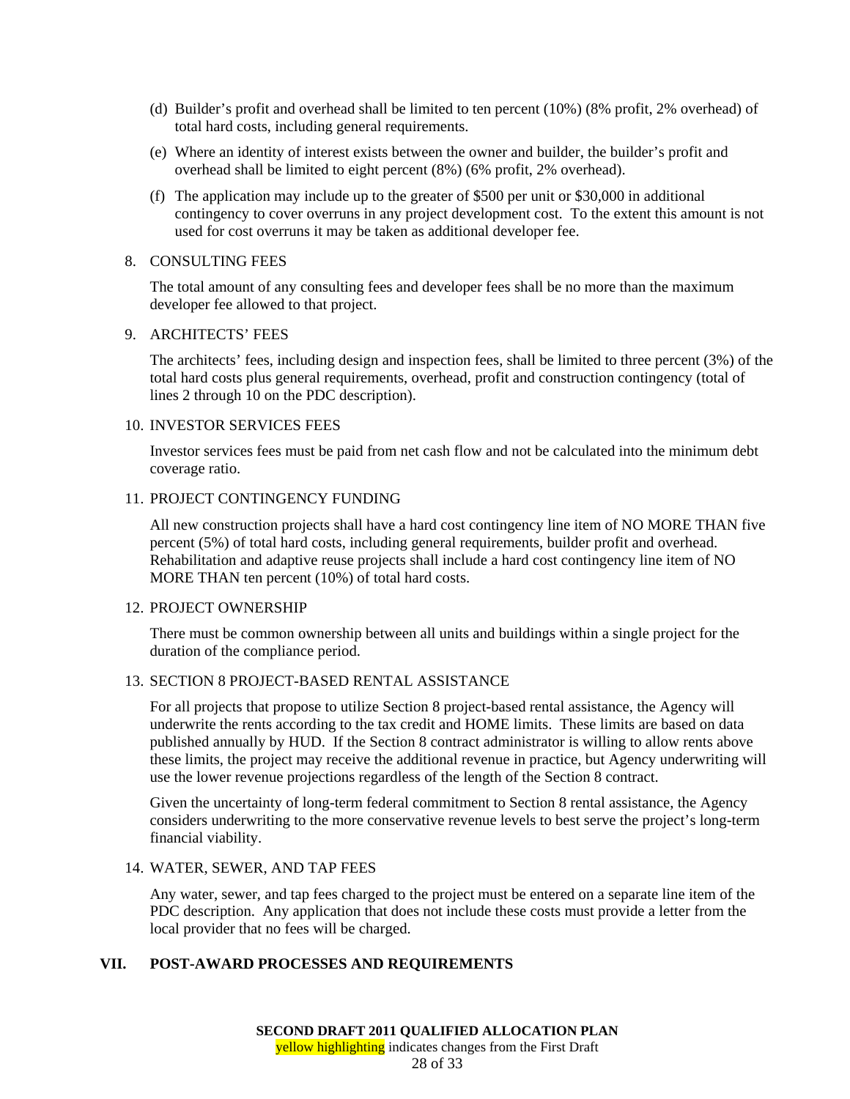- (d) Builder's profit and overhead shall be limited to ten percent (10%) (8% profit, 2% overhead) of total hard costs, including general requirements.
- (e) Where an identity of interest exists between the owner and builder, the builder's profit and overhead shall be limited to eight percent (8%) (6% profit, 2% overhead).
- (f) The application may include up to the greater of \$500 per unit or \$30,000 in additional contingency to cover overruns in any project development cost. To the extent this amount is not used for cost overruns it may be taken as additional developer fee.

#### 8. CONSULTING FEES

The total amount of any consulting fees and developer fees shall be no more than the maximum developer fee allowed to that project.

#### 9. ARCHITECTS' FEES

The architects' fees, including design and inspection fees, shall be limited to three percent (3%) of the total hard costs plus general requirements, overhead, profit and construction contingency (total of lines 2 through 10 on the PDC description).

#### 10. INVESTOR SERVICES FEES

Investor services fees must be paid from net cash flow and not be calculated into the minimum debt coverage ratio.

## 11. PROJECT CONTINGENCY FUNDING

All new construction projects shall have a hard cost contingency line item of NO MORE THAN five percent (5%) of total hard costs, including general requirements, builder profit and overhead. Rehabilitation and adaptive reuse projects shall include a hard cost contingency line item of NO MORE THAN ten percent (10%) of total hard costs.

#### 12. PROJECT OWNERSHIP

There must be common ownership between all units and buildings within a single project for the duration of the compliance period.

## 13. SECTION 8 PROJECT-BASED RENTAL ASSISTANCE

For all projects that propose to utilize Section 8 project-based rental assistance, the Agency will underwrite the rents according to the tax credit and HOME limits. These limits are based on data published annually by HUD. If the Section 8 contract administrator is willing to allow rents above these limits, the project may receive the additional revenue in practice, but Agency underwriting will use the lower revenue projections regardless of the length of the Section 8 contract.

Given the uncertainty of long-term federal commitment to Section 8 rental assistance, the Agency considers underwriting to the more conservative revenue levels to best serve the project's long-term financial viability.

#### 14. WATER, SEWER, AND TAP FEES

Any water, sewer, and tap fees charged to the project must be entered on a separate line item of the PDC description. Any application that does not include these costs must provide a letter from the local provider that no fees will be charged.

#### **VII. POST-AWARD PROCESSES AND REQUIREMENTS**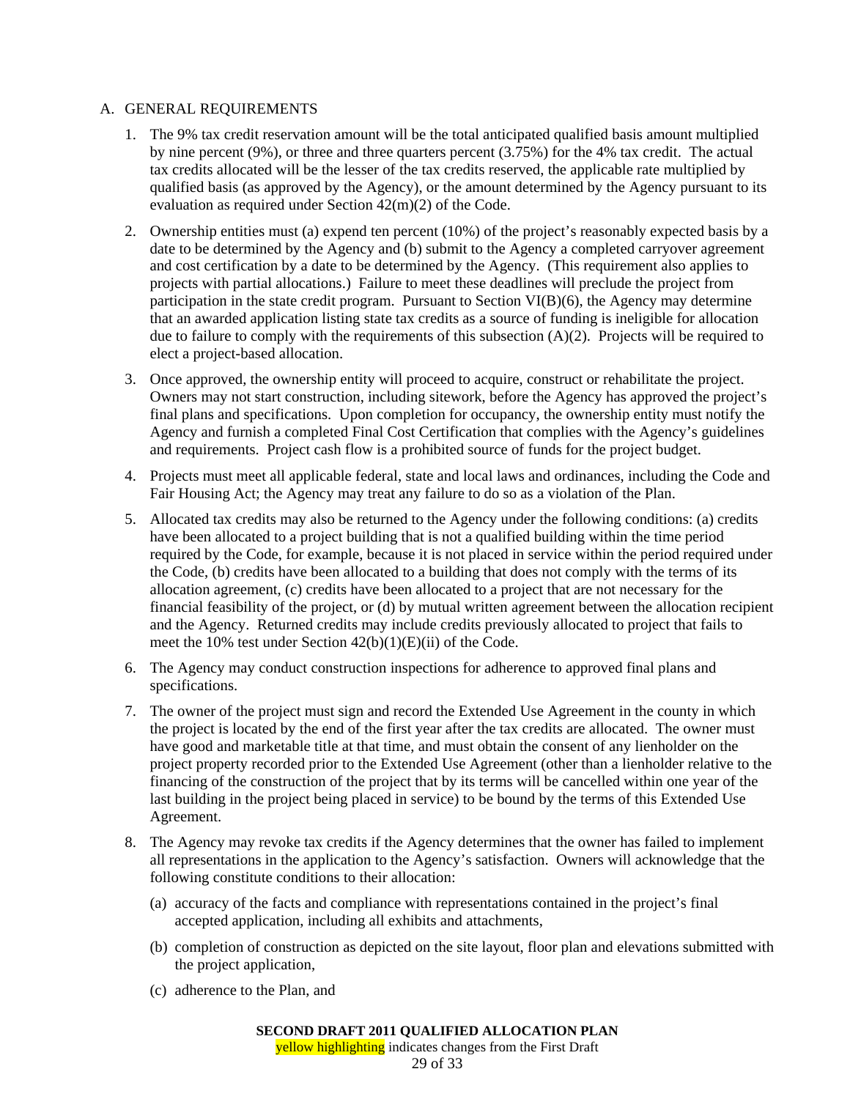## A. GENERAL REQUIREMENTS

- 1. The 9% tax credit reservation amount will be the total anticipated qualified basis amount multiplied by nine percent (9%), or three and three quarters percent (3.75%) for the 4% tax credit. The actual tax credits allocated will be the lesser of the tax credits reserved, the applicable rate multiplied by qualified basis (as approved by the Agency), or the amount determined by the Agency pursuant to its evaluation as required under Section 42(m)(2) of the Code.
- 2. Ownership entities must (a) expend ten percent (10%) of the project's reasonably expected basis by a date to be determined by the Agency and (b) submit to the Agency a completed carryover agreement and cost certification by a date to be determined by the Agency. (This requirement also applies to projects with partial allocations.) Failure to meet these deadlines will preclude the project from participation in the state credit program. Pursuant to Section VI(B)(6), the Agency may determine that an awarded application listing state tax credits as a source of funding is ineligible for allocation due to failure to comply with the requirements of this subsection (A)(2). Projects will be required to elect a project-based allocation.
- 3. Once approved, the ownership entity will proceed to acquire, construct or rehabilitate the project. Owners may not start construction, including sitework, before the Agency has approved the project's final plans and specifications. Upon completion for occupancy, the ownership entity must notify the Agency and furnish a completed Final Cost Certification that complies with the Agency's guidelines and requirements. Project cash flow is a prohibited source of funds for the project budget.
- 4. Projects must meet all applicable federal, state and local laws and ordinances, including the Code and Fair Housing Act; the Agency may treat any failure to do so as a violation of the Plan.
- 5. Allocated tax credits may also be returned to the Agency under the following conditions: (a) credits have been allocated to a project building that is not a qualified building within the time period required by the Code, for example, because it is not placed in service within the period required under the Code, (b) credits have been allocated to a building that does not comply with the terms of its allocation agreement, (c) credits have been allocated to a project that are not necessary for the financial feasibility of the project, or (d) by mutual written agreement between the allocation recipient and the Agency. Returned credits may include credits previously allocated to project that fails to meet the 10% test under Section 42(b)(1)(E)(ii) of the Code.
- 6. The Agency may conduct construction inspections for adherence to approved final plans and specifications.
- 7. The owner of the project must sign and record the Extended Use Agreement in the county in which the project is located by the end of the first year after the tax credits are allocated. The owner must have good and marketable title at that time, and must obtain the consent of any lienholder on the project property recorded prior to the Extended Use Agreement (other than a lienholder relative to the financing of the construction of the project that by its terms will be cancelled within one year of the last building in the project being placed in service) to be bound by the terms of this Extended Use Agreement.
- 8. The Agency may revoke tax credits if the Agency determines that the owner has failed to implement all representations in the application to the Agency's satisfaction. Owners will acknowledge that the following constitute conditions to their allocation:
	- (a) accuracy of the facts and compliance with representations contained in the project's final accepted application, including all exhibits and attachments,
	- (b) completion of construction as depicted on the site layout, floor plan and elevations submitted with the project application,
	- (c) adherence to the Plan, and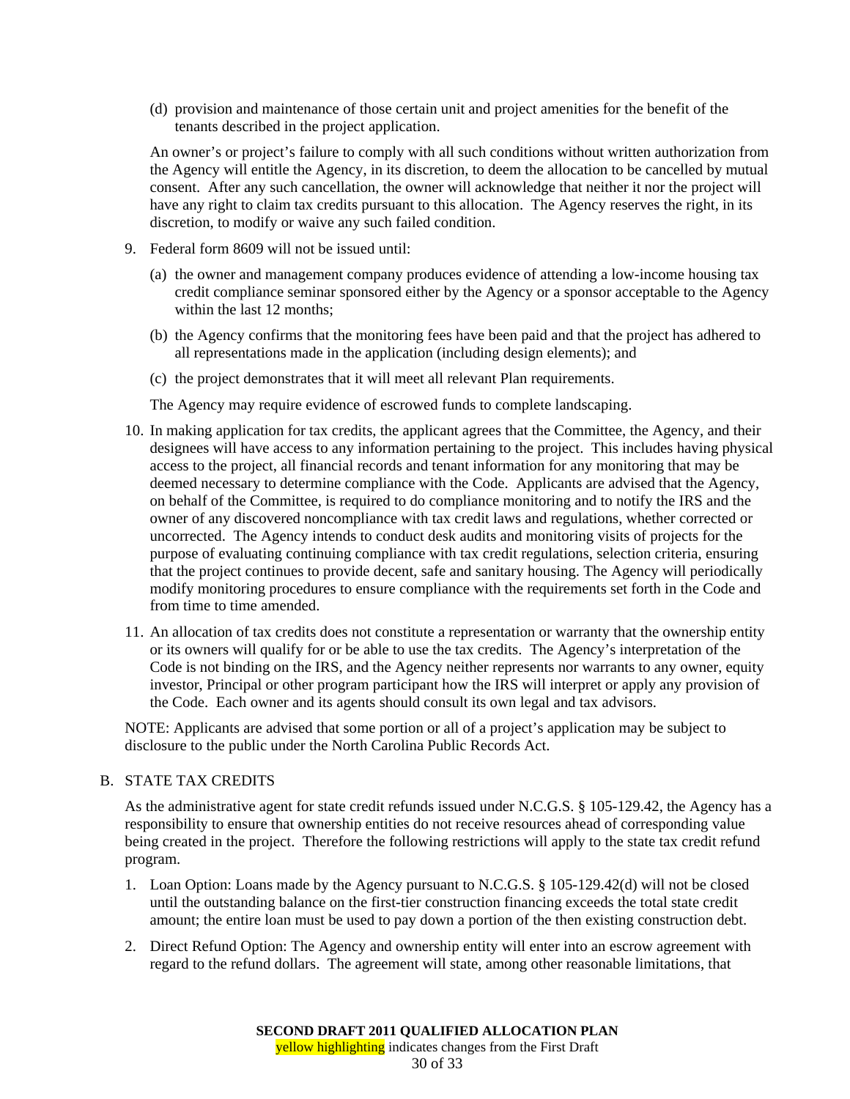(d) provision and maintenance of those certain unit and project amenities for the benefit of the tenants described in the project application.

An owner's or project's failure to comply with all such conditions without written authorization from the Agency will entitle the Agency, in its discretion, to deem the allocation to be cancelled by mutual consent. After any such cancellation, the owner will acknowledge that neither it nor the project will have any right to claim tax credits pursuant to this allocation. The Agency reserves the right, in its discretion, to modify or waive any such failed condition.

- 9. Federal form 8609 will not be issued until:
	- (a) the owner and management company produces evidence of attending a low-income housing tax credit compliance seminar sponsored either by the Agency or a sponsor acceptable to the Agency within the last 12 months;
	- (b) the Agency confirms that the monitoring fees have been paid and that the project has adhered to all representations made in the application (including design elements); and
	- (c) the project demonstrates that it will meet all relevant Plan requirements.

The Agency may require evidence of escrowed funds to complete landscaping.

- 10. In making application for tax credits, the applicant agrees that the Committee, the Agency, and their designees will have access to any information pertaining to the project. This includes having physical access to the project, all financial records and tenant information for any monitoring that may be deemed necessary to determine compliance with the Code. Applicants are advised that the Agency, on behalf of the Committee, is required to do compliance monitoring and to notify the IRS and the owner of any discovered noncompliance with tax credit laws and regulations, whether corrected or uncorrected. The Agency intends to conduct desk audits and monitoring visits of projects for the purpose of evaluating continuing compliance with tax credit regulations, selection criteria, ensuring that the project continues to provide decent, safe and sanitary housing. The Agency will periodically modify monitoring procedures to ensure compliance with the requirements set forth in the Code and from time to time amended.
- 11. An allocation of tax credits does not constitute a representation or warranty that the ownership entity or its owners will qualify for or be able to use the tax credits. The Agency's interpretation of the Code is not binding on the IRS, and the Agency neither represents nor warrants to any owner, equity investor, Principal or other program participant how the IRS will interpret or apply any provision of the Code. Each owner and its agents should consult its own legal and tax advisors.

NOTE: Applicants are advised that some portion or all of a project's application may be subject to disclosure to the public under the North Carolina Public Records Act.

#### B. STATE TAX CREDITS

As the administrative agent for state credit refunds issued under N.C.G.S. § 105-129.42, the Agency has a responsibility to ensure that ownership entities do not receive resources ahead of corresponding value being created in the project. Therefore the following restrictions will apply to the state tax credit refund program.

- 1. Loan Option: Loans made by the Agency pursuant to N.C.G.S. § 105-129.42(d) will not be closed until the outstanding balance on the first-tier construction financing exceeds the total state credit amount; the entire loan must be used to pay down a portion of the then existing construction debt.
- 2. Direct Refund Option: The Agency and ownership entity will enter into an escrow agreement with regard to the refund dollars. The agreement will state, among other reasonable limitations, that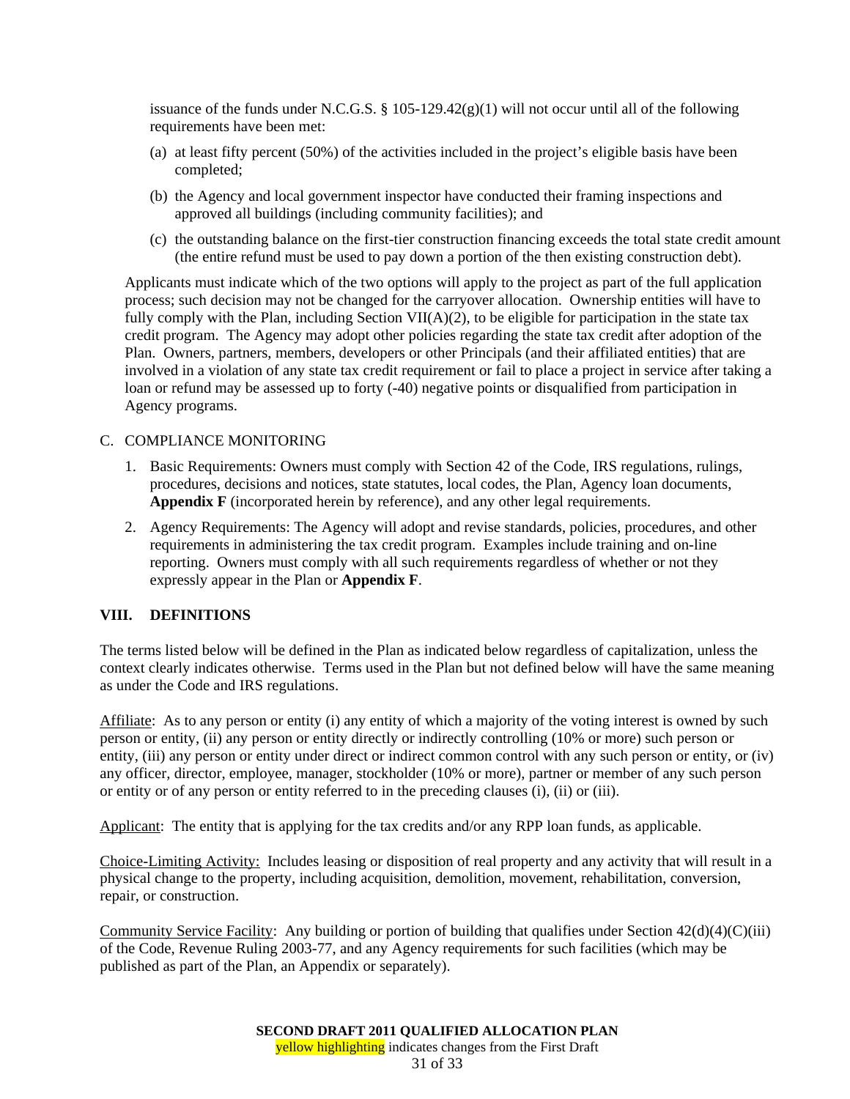issuance of the funds under N.C.G.S.  $\S$  105-129.42(g)(1) will not occur until all of the following requirements have been met:

- (a) at least fifty percent (50%) of the activities included in the project's eligible basis have been completed;
- (b) the Agency and local government inspector have conducted their framing inspections and approved all buildings (including community facilities); and
- (c) the outstanding balance on the first-tier construction financing exceeds the total state credit amount (the entire refund must be used to pay down a portion of the then existing construction debt).

Applicants must indicate which of the two options will apply to the project as part of the full application process; such decision may not be changed for the carryover allocation. Ownership entities will have to fully comply with the Plan, including Section VII( $A$ )(2), to be eligible for participation in the state tax credit program. The Agency may adopt other policies regarding the state tax credit after adoption of the Plan. Owners, partners, members, developers or other Principals (and their affiliated entities) that are involved in a violation of any state tax credit requirement or fail to place a project in service after taking a loan or refund may be assessed up to forty (-40) negative points or disqualified from participation in Agency programs.

## C. COMPLIANCE MONITORING

- 1. Basic Requirements: Owners must comply with Section 42 of the Code, IRS regulations, rulings, procedures, decisions and notices, state statutes, local codes, the Plan, Agency loan documents, **Appendix F** (incorporated herein by reference), and any other legal requirements.
- 2. Agency Requirements: The Agency will adopt and revise standards, policies, procedures, and other requirements in administering the tax credit program. Examples include training and on-line reporting. Owners must comply with all such requirements regardless of whether or not they expressly appear in the Plan or **Appendix F**.

## **VIII. DEFINITIONS**

The terms listed below will be defined in the Plan as indicated below regardless of capitalization, unless the context clearly indicates otherwise. Terms used in the Plan but not defined below will have the same meaning as under the Code and IRS regulations.

Affiliate: As to any person or entity (i) any entity of which a majority of the voting interest is owned by such person or entity, (ii) any person or entity directly or indirectly controlling (10% or more) such person or entity, (iii) any person or entity under direct or indirect common control with any such person or entity, or (iv) any officer, director, employee, manager, stockholder (10% or more), partner or member of any such person or entity or of any person or entity referred to in the preceding clauses (i), (ii) or (iii).

Applicant: The entity that is applying for the tax credits and/or any RPP loan funds, as applicable.

Choice-Limiting Activity: Includes leasing or disposition of real property and any activity that will result in a physical change to the property, including acquisition, demolition, movement, rehabilitation, conversion, repair, or construction.

Community Service Facility: Any building or portion of building that qualifies under Section 42(d)(4)(C)(iii) of the Code, Revenue Ruling 2003-77, and any Agency requirements for such facilities (which may be published as part of the Plan, an Appendix or separately).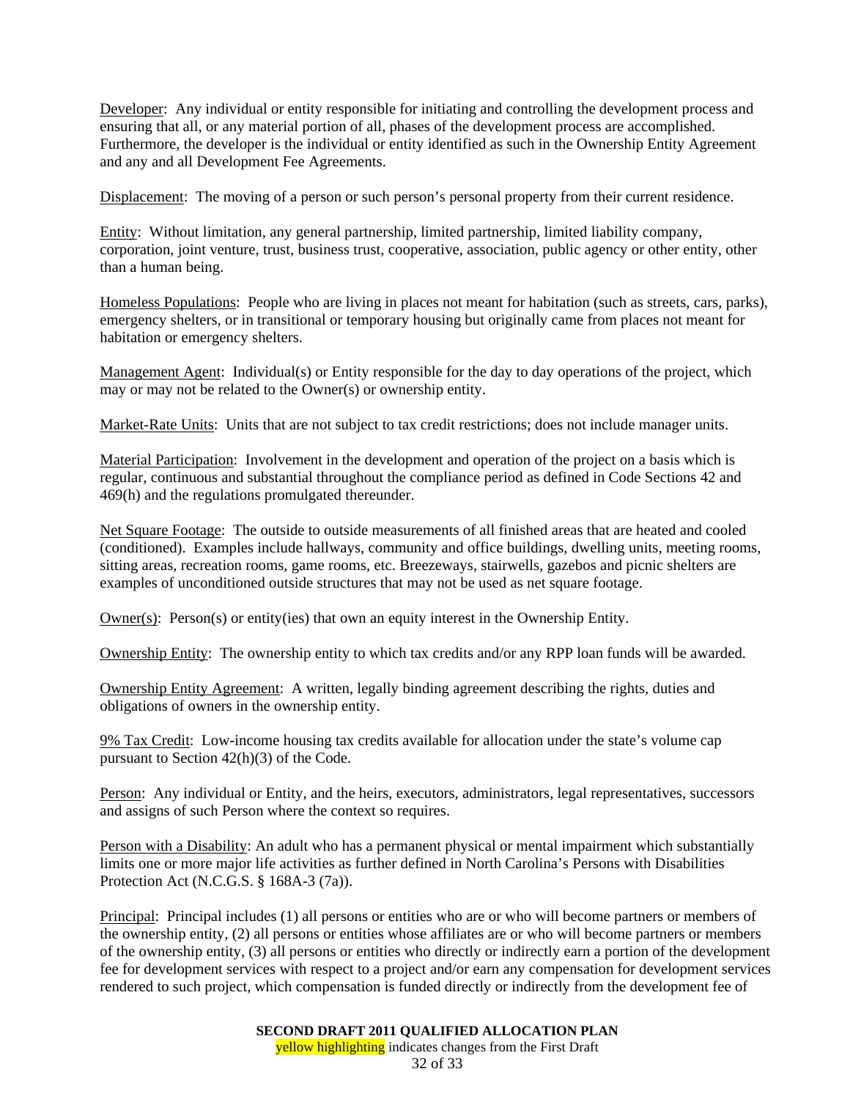Developer: Any individual or entity responsible for initiating and controlling the development process and ensuring that all, or any material portion of all, phases of the development process are accomplished. Furthermore, the developer is the individual or entity identified as such in the Ownership Entity Agreement and any and all Development Fee Agreements.

Displacement: The moving of a person or such person's personal property from their current residence.

Entity: Without limitation, any general partnership, limited partnership, limited liability company, corporation, joint venture, trust, business trust, cooperative, association, public agency or other entity, other than a human being.

Homeless Populations: People who are living in places not meant for habitation (such as streets, cars, parks), emergency shelters, or in transitional or temporary housing but originally came from places not meant for habitation or emergency shelters.

Management Agent: Individual(s) or Entity responsible for the day to day operations of the project, which may or may not be related to the Owner(s) or ownership entity.

Market-Rate Units: Units that are not subject to tax credit restrictions; does not include manager units.

Material Participation: Involvement in the development and operation of the project on a basis which is regular, continuous and substantial throughout the compliance period as defined in Code Sections 42 and 469(h) and the regulations promulgated thereunder.

Net Square Footage: The outside to outside measurements of all finished areas that are heated and cooled (conditioned). Examples include hallways, community and office buildings, dwelling units, meeting rooms, sitting areas, recreation rooms, game rooms, etc. Breezeways, stairwells, gazebos and picnic shelters are examples of unconditioned outside structures that may not be used as net square footage.

Owner(s): Person(s) or entity(ies) that own an equity interest in the Ownership Entity.

Ownership Entity: The ownership entity to which tax credits and/or any RPP loan funds will be awarded.

Ownership Entity Agreement: A written, legally binding agreement describing the rights, duties and obligations of owners in the ownership entity.

9% Tax Credit: Low-income housing tax credits available for allocation under the state's volume cap pursuant to Section 42(h)(3) of the Code.

Person: Any individual or Entity, and the heirs, executors, administrators, legal representatives, successors and assigns of such Person where the context so requires.

Person with a Disability: An adult who has a permanent physical or mental impairment which substantially limits one or more major life activities as further defined in North Carolina's Persons with Disabilities Protection Act (N.C.G.S. § 168A-3 (7a)).

Principal: Principal includes (1) all persons or entities who are or who will become partners or members of the ownership entity, (2) all persons or entities whose affiliates are or who will become partners or members of the ownership entity, (3) all persons or entities who directly or indirectly earn a portion of the development fee for development services with respect to a project and/or earn any compensation for development services rendered to such project, which compensation is funded directly or indirectly from the development fee of